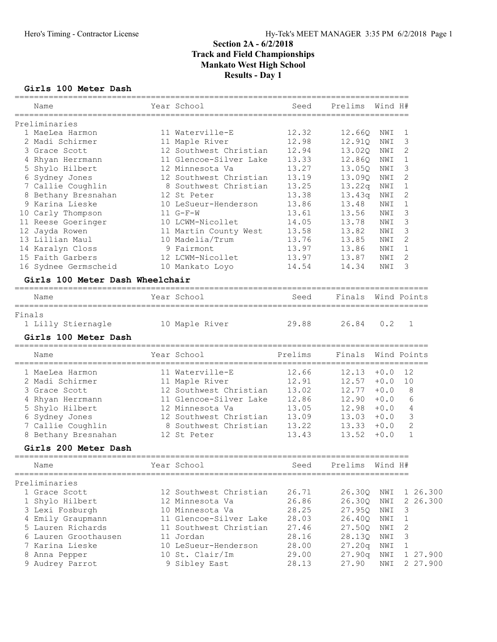#### Girls 100 Meter Dash

|        | Name                            | Year School            | Seed                             | Prelims | Wind H# |                |
|--------|---------------------------------|------------------------|----------------------------------|---------|---------|----------------|
|        | Preliminaries                   | ==============         | ================================ |         |         |                |
|        | 1 MaeLea Harmon                 | 11 Waterville-E        | 12.32                            | 12.660  | NWI     | 1              |
|        | 2 Madi Schirmer                 | 11 Maple River         | 12.98                            | 12.91Q  | NWI     | 3              |
|        | 3 Grace Scott                   | 12 Southwest Christian | 12.94                            | 13.02Q  | NWI     | 2              |
|        | 4 Rhyan Herrmann                | 11 Glencoe-Silver Lake | 13.33                            | 12.860  | NWI     | $\mathbf 1$    |
|        | 5 Shylo Hilbert                 | 12 Minnesota Va        | 13.27                            | 13.050  | NWI     | 3              |
|        | 6 Sydney Jones                  | 12 Southwest Christian | 13.19                            | 13.09Q  | NWI     | $\overline{2}$ |
|        | 7 Callie Coughlin               | 8 Southwest Christian  | 13.25                            | 13.22q  | NWI     | 1              |
|        | 8 Bethany Bresnahan             | 12 St Peter            | 13.38                            | 13.43q  | NWI     | 2              |
|        | Karina Lieske                   | 10 LeSueur-Henderson   | 13.86                            | 13.48   | NWI     | 1              |
|        | 10 Carly Thompson               | $11 G-F-W$             | 13.61                            | 13.56   | NWI     | 3              |
|        | 11 Reese Goeringer              | 10 LCWM-Nicollet       | 14.05                            | 13.78   | NWI     | 3              |
|        | 12 Jayda Rowen                  | 11 Martin County West  | 13.58                            | 13.82   | NWI     | 3              |
|        | 13 Lillian Maul                 | 10 Madelia/Trum        | 13.76                            | 13.85   | NWI     | 2              |
|        | 14 Karalyn Closs                | 9 Fairmont             | 13.97                            | 13.86   | NWI     | 1              |
|        | 15 Faith Garbers                | 12 LCWM-Nicollet       | 13.97                            | 13.87   | NWI     | 2              |
|        | 16 Sydnee Germscheid            | 10 Mankato Loyo        | 14.54                            | 14.34   | NWI     | 3              |
|        | Girls 100 Meter Dash Wheelchair |                        |                                  |         |         |                |
|        | Name                            | Year School            | Seed                             | Finals  |         | Wind Points    |
| Finals |                                 |                        |                                  |         |         |                |
|        | 1 Lilly Stiernagle              | 10 Maple River         | 29.88                            | 26.84   | 0.2     | 1              |
|        | Girls 100 Meter Dash            |                        |                                  |         |         |                |
|        | Name                            | Year School            | Prelims                          | Finals  |         | Wind Points    |
|        | 1 MaeLea Harmon                 | 11 Waterville-E        | 12.66                            | 12.13   | $+0.0$  | 12             |
|        | 2 Madi Schirmer                 | 11 Maple River         | 12.91                            | 12.57   | $+0.0$  | 10             |
| 3      | Grace Scott                     | 12 Southwest Christian | 13.02                            | 12.77   | $+0.0$  | 8              |
|        | Rhyan Herrmann                  | 11 Glencoe-Silver Lake | 12.86                            | 12.90   | $+0.0$  | 6              |
|        | Shylo Hilbert                   | 12 Minnesota Va        | 13.05                            | 12.98   | $+0.0$  | 4              |
|        | Sydney Jones                    | 12 Southwest Christian | 13.09                            | 13.03   | $+0.0$  | 3              |
|        | 7 Callie Coughlin               | 8 Southwest Christian  | 13.22                            | 13.33   | $+0.0$  | 2              |
|        | 8 Bethany Bresnahan             | 12 St Peter            | 13.43                            | 13.52   | $+0.0$  | $\mathbf{1}$   |
|        | Girls 200 Meter Dash            |                        |                                  |         |         |                |
|        | Name<br>---------               | Year School            | Seed                             | Prelims | Wind H# |                |
|        | Preliminaries                   |                        |                                  |         |         |                |
|        | 1 Grace Scott                   | 12 Southwest Christian | 26.71                            | 26.30Q  | NWI     | 1 26.300       |
|        | 1 Shylo Hilbert                 | 12 Minnesota Va        | 26.86                            | 26.30Q  | NWI     | 2 26.300       |
|        | 3 Lexi Fosburgh                 | 10 Minnesota Va        | 28.25                            | 27.95Q  | NWI     | 3              |
|        | 4 Emily Graupmann               | 11 Glencoe-Silver Lake | 28.03                            | 26.40Q  | NWI     | 1              |
|        | 5 Lauren Richards               | 11 Southwest Christian | 27.46                            | 27.50Q  | NWI     | 2              |
|        | 6 Lauren Groothausen            | 11 Jordan              | 28.16                            | 28.13Q  | NWI     | 3              |
|        | 7 Karina Lieske                 | 10 LeSueur-Henderson   | 28.00                            | 27.20q  | NWI     | 1              |
|        | 8 Anna Pepper                   | 10 St. Clair/Im        | 29.00                            | 27.90q  | NWI     | 1 27.900       |
|        | 9 Audrey Parrot                 | 9 Sibley East          | 28.13                            | 27.90   | NWI     | 2 27.900       |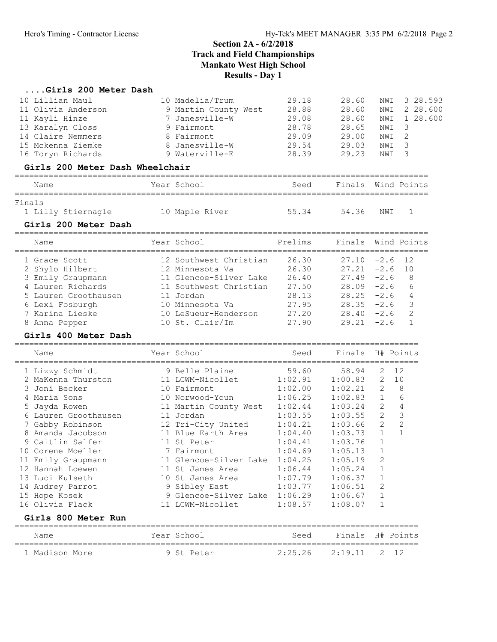# ....Girls 200 Meter Dash<br>10 Lillian Maul

| 10 Lillian Maul<br>11 Olivia Anderson<br>11 Kayli Hinze<br>13 Karalyn Closs<br>14 Claire Nemmers<br>15 Mckenna Ziemke<br>16 Toryn Richards                                                                                                                                                                                                     | 10 Madelia/Trum<br>9 Martin County West<br>7 Janesville-W<br>9 Fairmont<br>8 Fairmont<br>8 Janesville-W<br>9 Waterville-E                                                                                                                                                                                                   | 29.18<br>28.88<br>29.08<br>28.78<br>29.09<br>29.54<br>28.39                                                                                                     | 28.60<br>28.60<br>28.60<br>28.65<br>29.00<br>29.03<br>29.23                                                                                                                | NWI<br>NWI<br>NWI<br>NWI<br>NWI<br>NWI<br>NWI                                                                                                           | 3 28.593<br>2 28.600<br>1 28.600<br>3<br>$\overline{2}$<br>3<br>3 |
|------------------------------------------------------------------------------------------------------------------------------------------------------------------------------------------------------------------------------------------------------------------------------------------------------------------------------------------------|-----------------------------------------------------------------------------------------------------------------------------------------------------------------------------------------------------------------------------------------------------------------------------------------------------------------------------|-----------------------------------------------------------------------------------------------------------------------------------------------------------------|----------------------------------------------------------------------------------------------------------------------------------------------------------------------------|---------------------------------------------------------------------------------------------------------------------------------------------------------|-------------------------------------------------------------------|
| Girls 200 Meter Dash Wheelchair                                                                                                                                                                                                                                                                                                                |                                                                                                                                                                                                                                                                                                                             |                                                                                                                                                                 |                                                                                                                                                                            |                                                                                                                                                         |                                                                   |
| Name                                                                                                                                                                                                                                                                                                                                           | Year School                                                                                                                                                                                                                                                                                                                 | Seed                                                                                                                                                            | Finals Wind Points                                                                                                                                                         |                                                                                                                                                         |                                                                   |
| Finals<br>1 Lilly Stiernagle<br>Girls 200 Meter Dash                                                                                                                                                                                                                                                                                           | 10 Maple River                                                                                                                                                                                                                                                                                                              | 55.34                                                                                                                                                           | 54.36                                                                                                                                                                      | NWI                                                                                                                                                     | 1                                                                 |
| Name                                                                                                                                                                                                                                                                                                                                           | Year School<br>======================                                                                                                                                                                                                                                                                                       | Prelims                                                                                                                                                         | Finals                                                                                                                                                                     |                                                                                                                                                         | Wind Points                                                       |
| 1 Grace Scott<br>2 Shylo Hilbert<br>3 Emily Graupmann<br>4 Lauren Richards<br>5 Lauren Groothausen<br>6 Lexi Fosburgh<br>7 Karina Lieske<br>8 Anna Pepper                                                                                                                                                                                      | 12 Southwest Christian<br>12 Minnesota Va<br>11 Glencoe-Silver Lake<br>11 Southwest Christian<br>11 Jordan<br>10 Minnesota Va<br>10 LeSueur-Henderson<br>10 St. Clair/Im                                                                                                                                                    | 26.30<br>26.30<br>26.40<br>27.50<br>28.13<br>27.95<br>27.20<br>27.90                                                                                            | 27.10<br>27.21<br>$27.49 - 2.6$<br>28.09<br>28.25<br>28.35<br>28.40<br>29.21                                                                                               | $-2.6$<br>$-2.6$<br>$-2.6$<br>$-2.6$<br>$-2.6$<br>$-2.6$<br>$-2.6$                                                                                      | 12<br>10<br>8<br>6<br>4<br>3<br>2<br>$\mathbf{1}$                 |
|                                                                                                                                                                                                                                                                                                                                                |                                                                                                                                                                                                                                                                                                                             |                                                                                                                                                                 |                                                                                                                                                                            |                                                                                                                                                         |                                                                   |
| Girls 400 Meter Dash<br>Name                                                                                                                                                                                                                                                                                                                   | Year School                                                                                                                                                                                                                                                                                                                 | Seed                                                                                                                                                            | Finals                                                                                                                                                                     |                                                                                                                                                         | H# Points                                                         |
| 1 Lizzy Schmidt<br>2 MaKenna Thurston<br>3 Joni Becker<br>4 Maria Sons<br>Jayda Rowen<br>6 Lauren Groothausen<br>7 Gabby Robinson<br>8 Amanda Jacobson<br>Caitlin Salfer<br>9<br>10 Corene Moeller<br>11 Emily Graupmann<br>12 Hannah Loewen<br>13 Luci Kulseth<br>14 Audrey Parrot<br>15 Hope Kosek<br>16 Olivia Flack<br>Girls 800 Meter Run | 9 Belle Plaine<br>11 LCWM-Nicollet<br>10 Fairmont<br>10 Norwood-Youn<br>11 Martin County West<br>11 Jordan<br>12 Tri-City United<br>11 Blue Earth Area<br>11 St Peter<br>7 Fairmont<br>11 Glencoe-Silver Lake<br>11 St James Area<br>10 St James Area<br>9 Sibley East<br>9 Glencoe-Silver Lake 1:06.29<br>11 LCWM-Nicollet | 59.60<br>1:02.91<br>1:02.00<br>1:06.25<br>1:02.44<br>1:03.55<br>1:04.21<br>1:04.40<br>1:04.41<br>1:04.69<br>1:04.25<br>1:06.44<br>1:07.79<br>1:03.77<br>1:08.57 | 58.94<br>1:00.83<br>1:02.21<br>1:02.83<br>1:03.24<br>1:03.55<br>1:03.66<br>1:03.73<br>1:03.76<br>1:05.13<br>1:05.19<br>1:05.24<br>1:06.37<br>1:06.51<br>1:06.67<br>1:08.07 | 2<br>2<br>2<br>1<br>2<br>$\overline{2}$<br>$\mathbf{2}$<br>$\mathbf{1}$<br>$\mathbf 1$<br>$\mathbf 1$<br>2<br>1<br>$\mathbf 1$<br>2<br>$\mathbf 1$<br>1 | 12<br>10<br>8<br>6<br>4<br>3<br>$\overline{c}$<br>$\mathbf{1}$    |
| Name                                                                                                                                                                                                                                                                                                                                           | Year School                                                                                                                                                                                                                                                                                                                 | Seed                                                                                                                                                            | Finals                                                                                                                                                                     | H# Points                                                                                                                                               |                                                                   |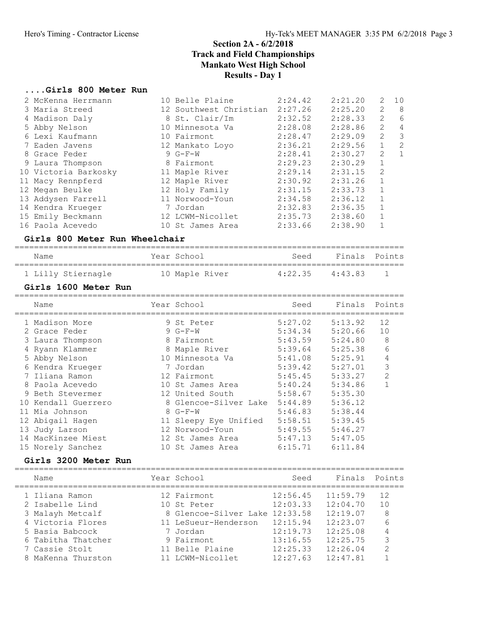# ....Girls 800 Meter Run

| 9 | 2 McKenna Herrmann<br>3 Maria Streed<br>4 Madison Daly<br>5 Abby Nelson<br>6 Lexi Kaufmann<br>7 Eaden Javens<br>8 Grace Feder<br>Laura Thompson<br>10 Victoria Barkosky<br>11 Macy Rennpferd<br>12 Megan Beulke<br>13 Addysen Farrell<br>14 Kendra Krueger<br>15 Emily Beckmann<br>16 Paola Acevedo<br>Girls 800 Meter Run Wheelchair | 10 Belle Plaine<br>12 Southwest Christian 2:27.26<br>8 St. Clair/Im<br>10 Minnesota Va<br>10 Fairmont<br>12 Mankato Loyo<br>9 G-F-W<br>8 Fairmont<br>11 Maple River<br>12 Maple River<br>12 Holy Family<br>11 Norwood-Youn<br>7 Jordan<br>12 LCWM-Nicollet<br>10 St James Area | 2:24.42<br>2:32.52<br>2:28.08<br>2:28.47<br>2:36.21<br>2:28.41<br>2:29.23<br>2:29.14<br>2:30.92<br>2:31.15<br>2:34.58<br>2:32.83<br>2:35.73<br>2:33.66            | 2:21.20<br>2:25.20<br>2:28.33<br>2:28.86<br>2:29.09<br>2:29.56<br>2:30.27<br>2:30.29<br>2:31.15<br>2:31.26<br>2:33.73<br>2:36.12<br>2:36.35<br>2:38.60<br>2:38.90 | 2<br>10<br>$\overline{c}$<br>8<br>$6\phantom{1}6$<br>2<br>$\overline{c}$<br>$\overline{4}$<br>$\mathfrak{Z}$<br>$\overline{c}$<br>$\overline{c}$<br>$\mathbf 1$<br>$\overline{2}$<br>$\mathbf{1}$<br>$\mathbf 1$<br>$\overline{c}$<br>$\mathbf 1$<br>$\mathbf 1$<br>$\mathbf 1$<br>$\mathbf 1$<br>1<br>$\mathbf{1}$ |
|---|---------------------------------------------------------------------------------------------------------------------------------------------------------------------------------------------------------------------------------------------------------------------------------------------------------------------------------------|--------------------------------------------------------------------------------------------------------------------------------------------------------------------------------------------------------------------------------------------------------------------------------|-------------------------------------------------------------------------------------------------------------------------------------------------------------------|-------------------------------------------------------------------------------------------------------------------------------------------------------------------|---------------------------------------------------------------------------------------------------------------------------------------------------------------------------------------------------------------------------------------------------------------------------------------------------------------------|
|   | Name                                                                                                                                                                                                                                                                                                                                  | Year School                                                                                                                                                                                                                                                                    | Seed                                                                                                                                                              | Finals                                                                                                                                                            | Points                                                                                                                                                                                                                                                                                                              |
|   |                                                                                                                                                                                                                                                                                                                                       |                                                                                                                                                                                                                                                                                |                                                                                                                                                                   |                                                                                                                                                                   |                                                                                                                                                                                                                                                                                                                     |
|   | 1 Lilly Stiernagle<br>Girls 1600 Meter Run                                                                                                                                                                                                                                                                                            | 10 Maple River                                                                                                                                                                                                                                                                 | 4:22.35                                                                                                                                                           | 4:43.83                                                                                                                                                           | 1                                                                                                                                                                                                                                                                                                                   |
|   | Name                                                                                                                                                                                                                                                                                                                                  | Year School                                                                                                                                                                                                                                                                    | Seed                                                                                                                                                              | Finals                                                                                                                                                            | Points                                                                                                                                                                                                                                                                                                              |
|   | 1 Madison More<br>2 Grace Feder<br>3 Laura Thompson<br>4 Ryann Klammer<br>5 Abby Nelson<br>6 Kendra Krueger<br>7 Iliana Ramon<br>8 Paola Acevedo<br>9 Beth Stevermer<br>10 Kendall Guerrero<br>11 Mia Johnson<br>12 Abigail Hagen<br>13 Judy Larson<br>14 MacKinzee Miest<br>15 Norely Sanchez<br>Girls 3200 Meter Run                | 9 St Peter<br>$9 G-F-W$<br>8 Fairmont<br>8 Maple River<br>10 Minnesota Va<br>7 Jordan<br>12 Fairmont<br>10 St James Area<br>12 United South<br>8 Glencoe-Silver Lake<br>8 G-F-W<br>11 Sleepy Eye Unified<br>12 Norwood-Youn<br>12 St James Area<br>10 St James Area            | 5:27.02<br>5:34.34<br>5:43.59<br>5:39.64<br>5:41.08<br>5:39.42<br>5:45.45<br>5:40.24<br>5:58.67<br>5:44.89<br>5:46.83<br>5:58.51<br>5:49.55<br>5:47.13<br>6:15.71 | 5:13.92<br>5:20.66<br>5:24.80<br>5:25.38<br>5:25.91<br>5:27.01<br>5:33.27<br>5:34.86<br>5:35.30<br>5:36.12<br>5:38.44<br>5:39.45<br>5:46.27<br>5:47.05<br>6:11.84 | 12<br>10<br>$\,8\,$<br>6<br>4<br>3<br>$\overline{c}$<br>$\mathbf{1}$                                                                                                                                                                                                                                                |
|   | Name                                                                                                                                                                                                                                                                                                                                  | Year School                                                                                                                                                                                                                                                                    | Seed                                                                                                                                                              | Finals                                                                                                                                                            | Points                                                                                                                                                                                                                                                                                                              |
|   | 1 Iliana Ramon<br>2 Isabelle Lind<br>3 Malayh Metcalf<br>4 Victoria Flores<br>5 Basia Babcock<br>6 Tabitha Thatcher<br>7 Cassie Stolt                                                                                                                                                                                                 | 12 Fairmont<br>10 St Peter<br>8 Glencoe-Silver Lake 12:33.58<br>11 LeSueur-Henderson<br>7 Jordan<br>9 Fairmont<br>11 Belle Plaine                                                                                                                                              | 12:56.45<br>12:03.33<br>12:15.94<br>12:19.73<br>13:16.55<br>12:25.33                                                                                              | 11:59.79<br>12:04.70<br>12:19.07<br>12:23.07<br>12:25.08<br>12:25.75<br>12:26.04                                                                                  | 12<br>10<br>8<br>6<br>4<br>3<br>$\mathbf{2}$                                                                                                                                                                                                                                                                        |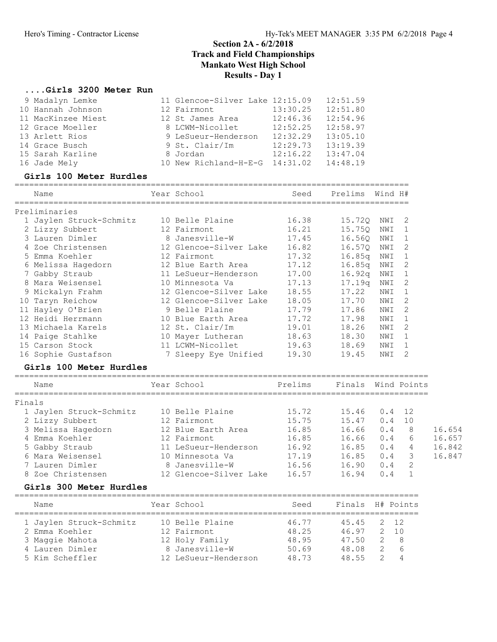## ....Girls 3200 Meter Run

|        | 9 Madalyn Lemke<br>10 Hannah Johnson<br>11 MacKinzee Miest<br>12 Grace Moeller<br>13 Arlett Rios<br>14 Grace Busch<br>15 Sarah Karline<br>16 Jade Mely<br>Girls 100 Meter Hurdles | 11 Glencoe-Silver Lake 12:15.09<br>12 Fairmont<br>12 St James Area<br>8 LCWM-Nicollet<br>9 LeSueur-Henderson 12:32.29<br>9 St. Clair/Im<br>8 Jordan<br>10 New Richland-H-E-G 14:31.02 | 13:30.25<br>12:46.36<br>12:52.25<br>12:29.73<br>12:16.22 | 12:51.59<br>12:51.80<br>12:54.96<br>12:58.97<br>13:05.10<br>13:19.39<br>13:47.04<br>14:48.19 |         |                |        |
|--------|-----------------------------------------------------------------------------------------------------------------------------------------------------------------------------------|---------------------------------------------------------------------------------------------------------------------------------------------------------------------------------------|----------------------------------------------------------|----------------------------------------------------------------------------------------------|---------|----------------|--------|
|        | Name                                                                                                                                                                              | Year School                                                                                                                                                                           | Seed                                                     | Prelims                                                                                      | Wind H# |                |        |
|        | Preliminaries                                                                                                                                                                     |                                                                                                                                                                                       |                                                          |                                                                                              |         |                |        |
|        | 1 Jaylen Struck-Schmitz                                                                                                                                                           | 10 Belle Plaine                                                                                                                                                                       | 16.38                                                    | 15.72Q NWI 2                                                                                 |         |                |        |
|        | 2 Lizzy Subbert                                                                                                                                                                   | 12 Fairmont                                                                                                                                                                           | 16.21                                                    | 15.750 NWI                                                                                   |         | 1              |        |
|        | 3 Lauren Dimler                                                                                                                                                                   | 8 Janesville-W                                                                                                                                                                        | 17.45                                                    | 16.56Q                                                                                       | NWI     | 1              |        |
|        | 4 Zoe Christensen                                                                                                                                                                 | 12 Glencoe-Silver Lake                                                                                                                                                                | 16.82                                                    | 16.57Q                                                                                       | NWI     | 2              |        |
|        | 5 Emma Koehler                                                                                                                                                                    | 12 Fairmont                                                                                                                                                                           | 17.32                                                    | 16.85q                                                                                       | NWI     | $\overline{1}$ |        |
|        | 5 Enuna nool<br>6 Melissa Hagedorn<br>11 Meranh                                                                                                                                   | 12 Blue Earth Area                                                                                                                                                                    | 17.12                                                    | 16.85q NWI                                                                                   |         | 2              |        |
|        | 7 Gabby Straub                                                                                                                                                                    | 11 LeSueur-Henderson                                                                                                                                                                  | 17.00                                                    | 16.92q                                                                                       | NWI     | 1              |        |
|        | 8 Mara Weisensel                                                                                                                                                                  | 10 Minnesota Va                                                                                                                                                                       | 17.13                                                    | 17 <b>.</b> 19q                                                                              | NWI     | 2              |        |
|        | 9 Mickalyn Frahm                                                                                                                                                                  | 12 Glencoe-Silver Lake                                                                                                                                                                | 18.55                                                    | 17.22                                                                                        | NWI     | 1              |        |
|        | 10 Taryn Reichow                                                                                                                                                                  | 12 Glencoe-Silver Lake                                                                                                                                                                | 18.05                                                    | 17.70                                                                                        | NWI     | 2              |        |
|        | 11 Hayley O'Brien                                                                                                                                                                 | 9 Belle Plaine                                                                                                                                                                        | 17.79                                                    | 17.86                                                                                        | NWI     | 2              |        |
|        | 12 Heidi Herrmann                                                                                                                                                                 | 10 Blue Earth Area                                                                                                                                                                    | 17.72                                                    | 17.98                                                                                        | NWI     | $\mathbf{1}$   |        |
|        | 13 Michaela Karels                                                                                                                                                                | 12 St. Clair/Im                                                                                                                                                                       | 19.01                                                    | 18.26                                                                                        | NWI     | 2              |        |
|        | 14 Paige Stahlke                                                                                                                                                                  | 10 Mayer Lutheran                                                                                                                                                                     | 18.63                                                    | 18.30                                                                                        | NWI 1   |                |        |
|        | 15 Carson Stock                                                                                                                                                                   | 11 LCWM-Nicollet                                                                                                                                                                      | 19.63                                                    | 18.69                                                                                        | NWI     | 1              |        |
|        | 16 Sophie Gustafson                                                                                                                                                               | 7 Sleepy Eye Unified                                                                                                                                                                  | 19.30                                                    | 19.45                                                                                        | NWI     | 2              |        |
|        | Girls 100 Meter Hurdles                                                                                                                                                           |                                                                                                                                                                                       |                                                          |                                                                                              |         |                |        |
|        | Name                                                                                                                                                                              | Year School                                                                                                                                                                           | Prelims                                                  | Finals Wind Points                                                                           |         |                |        |
| Finals |                                                                                                                                                                                   |                                                                                                                                                                                       |                                                          |                                                                                              |         |                |        |
|        | 1 Jaylen Struck-Schmitz                                                                                                                                                           | 10 Belle Plaine                                                                                                                                                                       | 15.72                                                    | 15.46                                                                                        |         | $0.4$ 12       |        |
|        | 2 Lizzy Subbert                                                                                                                                                                   | 12 Fairmont                                                                                                                                                                           | 15.75                                                    | 15.47                                                                                        | 0.4     | 10             |        |
|        | 3 Melissa Hagedorn                                                                                                                                                                | 12 Blue Earth Area                                                                                                                                                                    | 16.85                                                    | 16.66                                                                                        | 0.4     | 8              | 16.654 |
|        | 4 Emma Koehler                                                                                                                                                                    | 12 Fairmont                                                                                                                                                                           | 16.85                                                    | 16.66                                                                                        | 0.4     | 6 —            | 16.657 |
|        | 5 Gabby Straub                                                                                                                                                                    | 11 LeSueur-Henderson                                                                                                                                                                  | 16.92                                                    | 16.85                                                                                        | 0.4     | 4              | 16.842 |
|        | 6 Mara Weisensel                                                                                                                                                                  | 10 Minnesota Va                                                                                                                                                                       | 17.19                                                    | 16.85                                                                                        | 0.4     | 3              | 16.847 |
|        | 7 Lauren Dimler                                                                                                                                                                   | 8 Janesville-W                                                                                                                                                                        | 16.56                                                    | 16.90                                                                                        | 0.4     | 2              |        |
|        | 8 Zoe Christensen                                                                                                                                                                 | 12 Glencoe-Silver Lake                                                                                                                                                                | 16.57                                                    | 16.94                                                                                        | 0.4     | 1              |        |
|        | Girls 300 Meter Hurdles                                                                                                                                                           |                                                                                                                                                                                       |                                                          |                                                                                              |         |                |        |
|        | Name                                                                                                                                                                              | Year School                                                                                                                                                                           | Seed                                                     | Finals H# Points                                                                             |         |                |        |
|        | 1 Jaylen Struck-Schmitz                                                                                                                                                           | 10 Belle Plaine                                                                                                                                                                       | 46.77                                                    | 45.45                                                                                        | 2       | 12             |        |
|        | 2 Emma Koehler                                                                                                                                                                    | 12 Fairmont                                                                                                                                                                           | 48.25                                                    | 46.97                                                                                        | 2       | 10             |        |
|        | 3 Maggie Mahota                                                                                                                                                                   | 12 Holy Family                                                                                                                                                                        | 48.95                                                    | 47.50                                                                                        | 2       | 8              |        |
|        | 4 Lauren Dimler                                                                                                                                                                   | 8 Janesville-W                                                                                                                                                                        | 50.69                                                    | 48.08                                                                                        | 2       | 6              |        |
|        | 5 Kim Scheffler                                                                                                                                                                   | 12 LeSueur-Henderson                                                                                                                                                                  | 48.73                                                    | 48.55                                                                                        |         | 4              |        |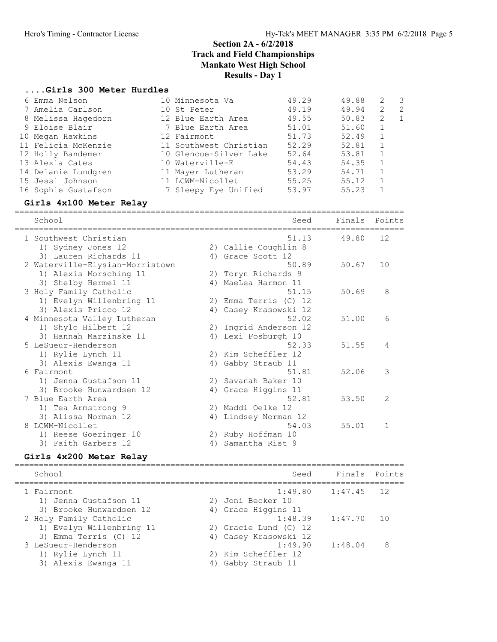#### ....Girls 300 Meter Hurdles

| 6 Emma Nelson       | 10 Minnesota Va        | 49.29 | 49.88 | 2 | - 3 |
|---------------------|------------------------|-------|-------|---|-----|
| 7 Amelia Carlson    | 10 St Peter            | 49.19 | 49.94 | 2 | -2  |
| 8 Melissa Hagedorn  | 12 Blue Earth Area     | 49.55 | 50.83 | 2 | - 1 |
| 9 Eloise Blair      | 7 Blue Earth Area      | 51.01 | 51.60 | 1 |     |
| 10 Megan Hawkins    | 12 Fairmont            | 51.73 | 52.49 |   |     |
| 11 Felicia McKenzie | 11 Southwest Christian | 52.29 | 52.81 |   |     |
| 12 Holly Bandemer   | 10 Glencoe-Silver Lake | 52.64 | 53.81 |   |     |
| 13 Alexia Cates     | 10 Waterville-E        | 54.43 | 54.35 |   |     |
| 14 Delanie Lundgren | 11 Mayer Lutheran      | 53.29 | 54.71 |   |     |
| 15 Jessi Johnson    | 11 LCWM-Nicollet       | 55.25 | 55.12 |   |     |
| 16 Sophie Gustafson | 7 Sleepy Eye Unified   | 53.97 | 55.23 |   |     |

# Girls 4x100 Meter Relay ================================================================================

 School Seed Finals Points ================================================================================ 1 Southwest Christian 51.13 49.80 12 1) Sydney Jones 12 2) Callie Coughlin 8 3) Lauren Richards 11 (4) Grace Scott 12 2 Waterville-Elysian-Morristown 50.89 50.67 10 1) Alexis Morsching 11 2) Toryn Richards 9 3) Shelby Hermel 11 4) MaeLea Harmon 11 3 Holy Family Catholic 2012 12:30 12:31 12:31:450.69 8 1) Evelyn Willenbring 11 2) Emma Terris (C) 12 3) Alexis Pricco 12 4) Casey Krasowski 12 4 Minnesota Valley Lutheran 52.02 51.00 6 1) Shylo Hilbert 12 2) Ingrid Anderson 12 3) Hannah Marzinske 11 4) Lexi Fosburgh 10 5 LeSueur-Henderson 52.33 51.55 4 1) Rylie Lynch 11 2) Kim Scheffler 12 3) Alexis Ewanga 11 4) Gabby Straub 11 6 Fairmont 51.81 52.06 3 1) Jenna Gustafson 11 2) Savanah Baker 10 3) Brooke Hunwardsen 12 4) Grace Higgins 11 7 Blue Earth Area 52.81 53.50 2 1) Tea Armstrong 9 2) Maddi Oelke 12 3) Alissa Norman 12 4) Lindsey Norman 12 8 LCWM-Nicollet 54.03 55.01 1 1) Reese Goeringer 10 2) Ruby Hoffman 10 3) Faith Garbers 12 (4) Samantha Rist 9

| Girls 4x200 Meter Relay                                                     |                                                   |                        |                 |
|-----------------------------------------------------------------------------|---------------------------------------------------|------------------------|-----------------|
| School                                                                      | Seed                                              | Finals Points          |                 |
| 1 Fairmont<br>1) Jenna Gustafson 11<br>3) Brooke Hunwardsen 12              | 2) Joni Becker 10<br>4) Grace Higgins 11          | $1:49.80$ $1:47.45$ 12 |                 |
| 2 Holy Family Catholic<br>1) Evelyn Willenbring 11<br>3) Emma Terris (C) 12 | 2) Gracie Lund (C) 12<br>4) Casey Krasowski 12    | $1:48.39$ $1:47.70$    | $\overline{10}$ |
| 3 LeSueur-Henderson<br>1) Rylie Lynch 11<br>3) Alexis Ewanga 11             | 1:49.90<br>2) Kim Scheffler 12<br>Gabby Straub 11 | 1:48.04                | 8               |
|                                                                             |                                                   |                        |                 |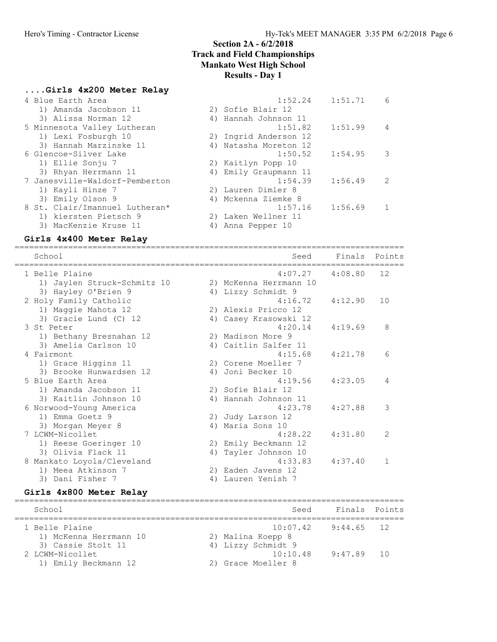#### ....Girls 4x200 Meter Relay

| 4 Blue Earth Area              | 1:51.71<br>1:52.24    | 6              |
|--------------------------------|-----------------------|----------------|
| 1) Amanda Jacobson 11          | 2) Sofie Blair 12     |                |
| 3) Alissa Norman 12            | 4) Hannah Johnson 11  |                |
| 5 Minnesota Valley Lutheran    | 1:51.82<br>1:51.99    | $\overline{4}$ |
| 1) Lexi Fosburgh 10            | 2) Ingrid Anderson 12 |                |
| 3) Hannah Marzinske 11         | 4) Natasha Moreton 12 |                |
| 6 Glencoe-Silver Lake          | 1:50.52<br>1:54.95    | 3              |
| 1) Ellie Sonju 7               | 2) Kaitlyn Popp 10    |                |
| 3) Rhyan Herrmann 11           | 4) Emily Graupmann 11 |                |
| 7 Janesville-Waldorf-Pemberton | 1:54.39<br>1:56.49    | $\mathcal{L}$  |
| 1) Kayli Hinze 7               | 2) Lauren Dimler 8    |                |
| 3) Emily Olson 9               | 4) Mckenna Ziemke 8   |                |
| 8 St. Clair/Imannuel Lutheran* | 1:56.69<br>1:57.16    |                |
| 1) kiersten Pietsch 9          | 2) Laken Wellner 11   |                |
| 3) MacKenzie Kruse 11          | 4) Anna Pepper 10     |                |
|                                |                       |                |

# Girls 4x400 Meter Relay ================================================================================

 School Seed Finals Points ================================================================================ 1 Belle Plaine 4:07.27 4:08.80 12 1) Jaylen Struck-Schmitz 10 2) McKenna Herrmann 10 3) Hayley O'Brien 9 4) Lizzy Schmidt 9 2 Holy Family Catholic 4:16.72 4:12.90 10 1) Maggie Mahota 12 2) Alexis Pricco 12 3) Gracie Lund (C) 12 30 4) Casey Krasowski 12 3 St Peter 4:20.14 4:19.69 8 1) Bethany Bresnahan 12 2) Madison More 9 3) Amelia Carlson 10 (4) Caitlin Salfer 11 4 Fairmont 4:15.68 4:21.78 6 1) Grace Higgins 11 2) Corene Moeller 7 3) Brooke Hunwardsen 12 (4) Joni Becker 10 5 Blue Earth Area 4:19.56 4:23.05 4 1) Amanda Jacobson 11 2) Sofie Blair 12 3) Kaitlin Johnson 10  $\hspace{1cm}$  4) Hannah Johnson 11 6 Norwood-Young America 4:23.78 4:27.88 3 1) Emma Goetz 9 2) Judy Larson 12 3) Morgan Meyer 8 4) Maria Sons 10 7 LCWM-Nicollet 4:28.22 4:31.80 2 1) Reese Goeringer 10 2) Emily Beckmann 12 3) Olivia Flack 11 (4) Tayler Johnson 10 8 Mankato Loyola/Cleveland 4:33.83 4:37.40 1 1) Meea Atkinson 7 2) Eaden Javens 12 3) Dani Fisher 7 1988 (2011) 4 Jauren Yenish 7

| Girls 4x800 Meter Relay                                       |                                                      |                    |  |
|---------------------------------------------------------------|------------------------------------------------------|--------------------|--|
| School                                                        |                                                      | Seed Finals Points |  |
| 1 Belle Plaine<br>1) McKenna Herrmann 10                      | $10:07.42$ 9:44.65 12<br>2) Malina Koepp 8           |                    |  |
| 3) Cassie Stolt 11<br>2 LCWM-Nicollet<br>1) Emily Beckmann 12 | 4) Lizzy Schmidt 9<br>10:10.48<br>2) Grace Moeller 8 | $9:47.89$ 10       |  |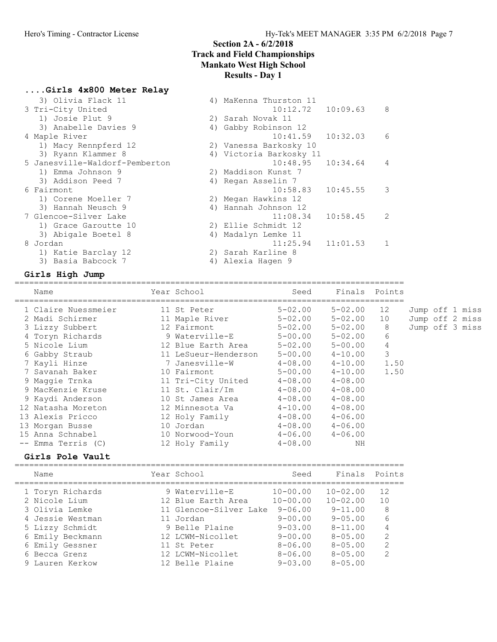# ....Girls 4x800 Meter Relay

| 3) Olivia Flack 11             |    | 4) MaKenna Thurston 11  |          |               |
|--------------------------------|----|-------------------------|----------|---------------|
| 3 Tri-City United              |    | 10:12.72                | 10:09.63 | 8             |
| 1) Josie Plut 9                |    | 2) Sarah Novak 11       |          |               |
| 3) Anabelle Davies 9           |    | 4) Gabby Robinson 12    |          |               |
| 4 Maple River                  |    | 10:41.59                | 10:32.03 | 6             |
| 1) Macy Rennpferd 12           |    | 2) Vanessa Barkosky 10  |          |               |
| 3) Ryann Klammer 8             |    | 4) Victoria Barkosky 11 |          |               |
| 5 Janesville-Waldorf-Pemberton |    | 10:48.95                | 10:34.64 | 4             |
| 1) Emma Johnson 9              |    | 2) Maddison Kunst 7     |          |               |
| 3) Addison Peed 7              |    | 4) Regan Asselin 7      |          |               |
| 6 Fairmont                     |    | 10:58.83                | 10:45.55 | 3             |
| 1) Corene Moeller 7            |    | 2) Megan Hawkins 12     |          |               |
| 3) Hannah Neusch 9             |    | 4) Hannah Johnson 12    |          |               |
| 7 Glencoe-Silver Lake          |    | 11:08.34                | 10:58.45 | $\mathcal{L}$ |
| 1) Grace Garoutte 10           |    | 2) Ellie Schmidt 12     |          |               |
| 3) Abigale Boetel 8            | 4) | Madalyn Lemke 11        |          |               |
| 8 Jordan                       |    | 11:25.94                | 11:01.53 |               |
| 1) Katie Barclay 12            |    | 2) Sarah Karline 8      |          |               |
| 3) Basia Babcock 7             | 4) | Alexia Haqen 9          |          |               |
|                                |    |                         |          |               |

# Girls High Jump ================================================================================

| Name                | Year School          | Seed                    | Finals Points |      |                 |
|---------------------|----------------------|-------------------------|---------------|------|-----------------|
| 1 Claire Nuessmeier | 11 St Peter          | 5-02.00                 | $5 - 02.00$   | 12   | Jump off 1 miss |
| 2 Madi Schirmer     | 11 Maple River       | $5 - 02.00$             | $5 - 02.00$   | 10   | Jump off 2 miss |
| 3 Lizzy Subbert     | 12 Fairmont          | 5-02.00                 | $5 - 02.00$   | 8    | Jump off 3 miss |
| 4 Toryn Richards    | 9 Waterville-E       | 5-00.00                 | $5 - 02.00$   | 6    |                 |
| 5 Nicole Lium       | 12 Blue Earth Area   | $5 - 02.00$             | $5 - 00.00$   | 4    |                 |
| 6 Gabby Straub      | 11 LeSueur-Henderson | $5 - 00.00$             | $4 - 10.00$   | 3    |                 |
| 7 Kayli Hinze       | 7 Janesville-W       | $4 - 08.00$             | $4 - 10.00$   | 1.50 |                 |
| 7 Savanah Baker     | 10 Fairmont          | $5 - 00.00$             | $4 - 10.00$   | 1.50 |                 |
| 9 Maqqie Trnka      | 11 Tri-City United   | $4 - 08.00$             | $4 - 08.00$   |      |                 |
| 9 MacKenzie Kruse   | 11 St. Clair/Im      | $4 - 08.00$             | $4 - 08.00$   |      |                 |
| 9 Kaydi Anderson    | 10 St James Area     | $4 - 08.00$             | $4 - 08.00$   |      |                 |
| 12 Natasha Moreton  | 12 Minnesota Va      | $4 - 10.00$             | $4 - 08.00$   |      |                 |
| 13 Alexis Pricco    | 12 Holy Family       | $4 - 08.00$             | $4 - 06.00$   |      |                 |
| 13 Morgan Busse     | 10 Jordan            | $4-08.00$ $4-06.00$     |               |      |                 |
| 15 Anna Schnabel    | 10 Norwood-Youn      | $4 - 06.00$ $4 - 06.00$ |               |      |                 |
| -- Emma Terris (C)  | 12 Holy Family       | $4 - 08.00$             | ΝH            |      |                 |

Girls Pole Vault ================================================================================ Name **Year School** Seed Finals Points

| 1 Toryn Richards | 9 Waterville-E         | $10 - 00.00$   | $10 - 02.00$   | 12                      |
|------------------|------------------------|----------------|----------------|-------------------------|
| 2 Nicole Lium    | 12 Blue Earth Area     | $10 - 00.00$   | $10 - 02.00$   | 10                      |
| 3 Olivia Lemke   | 11 Glencoe-Silver Lake | $9 - 06.00$    | $9 - 11.00$    | 8                       |
| 4 Jessie Westman | 11 Jordan              | $9 - 00.00$    | $9 - 0.5$ , 00 | 6                       |
| 5 Lizzy Schmidt  | 9 Belle Plaine         | $9 - 0.3$ , 00 | $8 - 11.00$    | 4                       |
| 6 Emily Beckmann | 12 LCWM-Nicollet       | $9 - 00.00$    | $8 - 0.5$ , 00 | 2                       |
| 6 Emily Gessner  | 11 St Peter            | $8 - 06.00$    | $8 - 0.5$ , 00 | 2                       |
| 6 Becca Grenz    | 12 LCWM-Nicollet       | $8 - 06.00$    | $8 - 0.5$ , 00 | $\mathcal{D}_{1}^{(1)}$ |
| 9 Lauren Kerkow  | 12 Belle Plaine        | $9 - 0.3$ , 00 | $8 - 0.5$ , 00 |                         |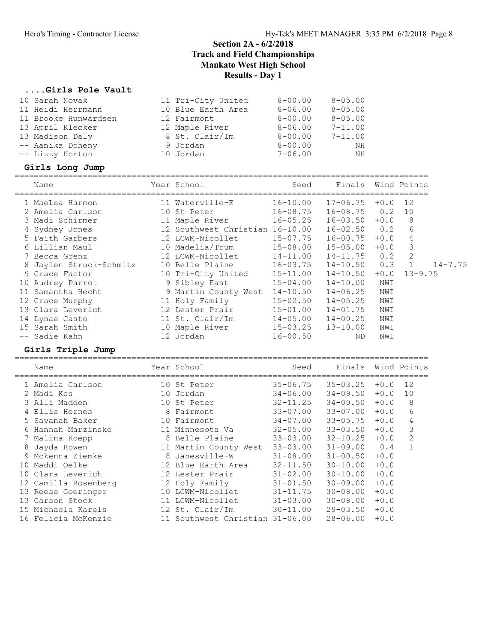#### ....Girls Pole Vault

| 10 Sarah Novak          | 11 Tri-City United              | $8 - 00.00$  | $8 - 05.00$  |        |                |             |
|-------------------------|---------------------------------|--------------|--------------|--------|----------------|-------------|
| 11 Heidi Herrmann       | 10 Blue Earth Area              | $8 - 06.00$  | $8 - 05.00$  |        |                |             |
| 11 Brooke Hunwardsen    | 12 Fairmont                     | $8 - 00.00$  | $8 - 05.00$  |        |                |             |
| 13 April Klecker        | 12 Maple River                  | $8 - 06.00$  | $7 - 11.00$  |        |                |             |
| 13 Madison Daly         | 8 St. Clair/Im                  | $8 - 00.00$  | $7 - 11.00$  |        |                |             |
| -- Aanika Doheny        | 9 Jordan                        | $8 - 00.00$  | ΝH           |        |                |             |
| -- Lizzy Horton         | 10 Jordan                       | $7 - 06.00$  | ΝH           |        |                |             |
| Girls Long Jump         |                                 |              |              |        |                |             |
| Name                    | Year School                     | Seed         | Finals       |        | Wind Points    |             |
| 1 MaeLea Harmon         | 11 Waterville-E                 | $16 - 10.00$ | $17 - 06.75$ | $+0.0$ | 12             |             |
| 2 Amelia Carlson        | 10 St Peter                     | $16 - 08.75$ | $16 - 08.75$ | 0.2    | 10             |             |
| 3 Madi Schirmer         | 11 Maple River                  | $16 - 05.25$ | $16 - 03.50$ | $+0.0$ | 8              |             |
| 4 Sydney Jones          | 12 Southwest Christian 16-10.00 |              | $16 - 02.50$ | 0.2    | 6              |             |
| 5 Faith Garbers         | 12 LCWM-Nicollet                | $15 - 07.75$ | $16 - 00.75$ | $+0.0$ | $\overline{4}$ |             |
| 6 Lillian Maul          | 10 Madelia/Trum                 | $15 - 08.00$ | $15 - 05.00$ | $+0.0$ | 3              |             |
| 7 Becca Grenz           | 12 LCWM-Nicollet                | $14 - 11.00$ | $14 - 11.75$ | 0.2    | $\overline{2}$ |             |
| 8 Jaylen Struck-Schmitz | 10 Belle Plaine                 | $16 - 03.75$ | $14 - 10.50$ | 0.3    | $\mathbf{1}$   | $14 - 7.75$ |
| 9 Grace Factor          | 10 Tri-City United              | $15 - 11.00$ | 14-10.50     | $+0.0$ | $13 - 9.75$    |             |
| 10 Audrey Parrot        | 9 Sibley East                   | $15 - 04.00$ | $14 - 10.00$ | NWI    |                |             |
| 11 Samantha Hecht       | 9 Martin County West 14-10.50   |              | $14 - 06.25$ | NWI    |                |             |
| 12 Grace Murphy         | 11 Holy Family                  | $15 - 02.50$ | $14 - 05.25$ | NWI    |                |             |
| 13 Clara Leverich       | 12 Lester Prair                 | $15 - 01.00$ | $14 - 01.75$ | NWI    |                |             |
| 14 Lynae Casto          | 11 St. Clair/Im                 | $14 - 05.00$ | $14 - 00.25$ | NWI    |                |             |
| 15 Sarah Smith          | 10 Maple River                  | $15 - 03.25$ | $13 - 10.00$ | NWI    |                |             |
| -- Sadie Kahn           | 12 Jordan                       | $16 - 00.50$ | ND.          | NWI    |                |             |
| Girls Triple Jump       |                                 |              |              |        |                |             |
| Name                    | Year School                     | Seed         | Finals       |        | Wind Points    |             |
| 1 Amelia Carlson        | 10 St Peter                     | $35 - 06.75$ | $35 - 03.25$ | $+0.0$ | 12             |             |
| 2 Madi Kes              | 10 Jordan                       | $34 - 06.00$ | 34-09.50     | $+0.0$ | 10             |             |
| 3 Alli Madden           | 10 St Peter                     | $32 - 11.25$ | $34 - 00.50$ | $+0.0$ | 8              |             |
| 4 Ellie Hernes          | 8 Fairmont                      | $33 - 07.00$ | $33 - 07.00$ | $+0.0$ | 6              |             |
| 5 Savanah Baker         | 10 Fairmont                     | $34 - 07.00$ | $33 - 05.75$ | $+0.0$ | 4              |             |
| 6 Hannah Marzinske      | 11 Minnesota Va                 | $32 - 05.00$ | $33 - 03.50$ | $+0.0$ | 3              |             |
| 7 Malina Koepp          | 8 Belle Plaine                  | $33 - 03.00$ | $32 - 10.25$ | $+0.0$ | 2              |             |
| 8 Jayda Rowen           | 11 Martin County West 33-03.00  |              | $31 - 09.00$ | 0.4    | $\mathbf{1}$   |             |
| 9 Mckenna Ziemke        | 8 Janesville-W                  | 31-08.00     | $31 - 00.50$ | $+0.0$ |                |             |
| 10 Maddi Oelke          | 12 Blue Earth Area              | $32 - 11.50$ | 30-10.00     | $+0.0$ |                |             |
| 10 Clara Leverich       | 12 Lester Prair                 | $31 - 02.00$ | $30 - 10.00$ | $+0.0$ |                |             |
| 12 Camilla Rosenberg    | 12 Holy Family                  | $31 - 01.50$ | $30 - 09.00$ | $+0.0$ |                |             |
| 13 Reese Goeringer      | 10 LCWM-Nicollet                | $31 - 11.75$ | $30 - 08.00$ | $+0.0$ |                |             |
| 13 Carson Stock         | 11 LCWM-Nicollet                | $31 - 03.00$ | 30-08.00     | $+0.0$ |                |             |

 15 Michaela Karels 12 St. Clair/Im 30-11.00 29-03.50 +0.0 16 Felicia McKenzie 11 Southwest Christian 31-06.00 28-06.00 +0.0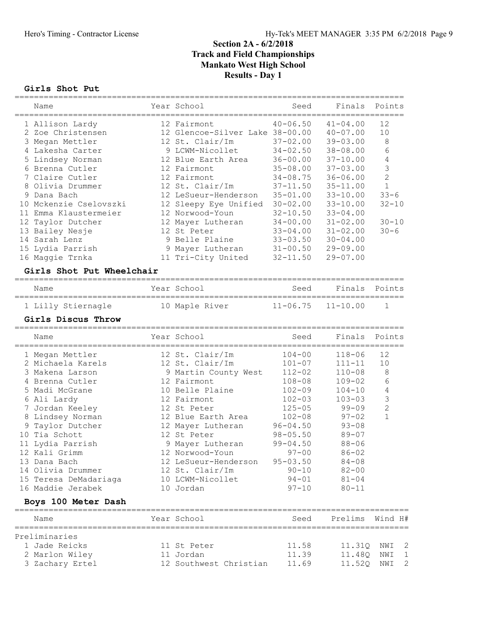# Girls Shot Put ================================================================================

| Name                      | Year School                     | Seed         | Finals          | Points                |
|---------------------------|---------------------------------|--------------|-----------------|-----------------------|
| 1 Allison Lardy           | 12 Fairmont                     | $40 - 06.50$ | $41 - 04.00$    | 12                    |
| 2 Zoe Christensen         | 12 Glencoe-Silver Lake 38-00.00 |              | $40 - 07.00$    | 10                    |
| 3 Megan Mettler           | 12 St. Clair/Im                 | $37 - 02.00$ | $39 - 03.00$    | 8                     |
| 4 Lakesha Carter          | 9 LCWM-Nicollet                 | $34 - 02.50$ | $38 - 08.00$    | 6                     |
| 5 Lindsey Norman          | 12 Blue Earth Area              | $36 - 00.00$ | $37 - 10.00$    | 4                     |
| 6 Brenna Cutler           | 12 Fairmont                     | $35 - 08.00$ | $37 - 03.00$    | $\mathsf 3$           |
| 7 Claire Cutler           | 12 Fairmont                     | $34 - 08.75$ | $36 - 06.00$    | $\sqrt{2}$            |
| 8 Olivia Drummer          | 12 St. Clair/Im                 | $37 - 11.50$ | $35 - 11.00$    | $\mathbf{1}$          |
| 9 Dana Bach               | 12 LeSueur-Henderson            | $35 - 01.00$ | $33 - 10.00$    | $33 - 6$              |
| 10 Mckenzie Cselovszki    | 12 Sleepy Eye Unified           | $30 - 02.00$ | $33 - 10.00$    | $32 - 10$             |
| 11 Emma Klaustermeier     | 12 Norwood-Youn                 | $32 - 10.50$ | $33 - 04.00$    |                       |
| 12 Taylor Dutcher         | 12 Mayer Lutheran               | $34 - 00.00$ | $31 - 02.00$    | $30 - 10$             |
| 13 Bailey Nesje           | 12 St Peter                     | $33 - 04.00$ | $31 - 02.00$    | $30 - 6$              |
| 14 Sarah Lenz             | 9 Belle Plaine                  | $33 - 03.50$ | $30 - 04.00$    |                       |
| 15 Lydia Parrish          | 9 Mayer Lutheran                | $31 - 00.50$ | $29 - 09.00$    |                       |
| 16 Maggie Trnka           | 11 Tri-City United              | $32 - 11.50$ | $29 - 07.00$    |                       |
| Girls Shot Put Wheelchair |                                 |              |                 |                       |
| Name                      | Year School                     | Seed         | Finals          | Points                |
| 1 Lilly Stiernagle        | 10 Maple River                  | $11 - 06.75$ | $11 - 10.00$    | 1                     |
| Girls Discus Throw        |                                 |              |                 |                       |
| Name                      | Year School                     | Seed         | Finals          | Points                |
| 1 Megan Mettler           | 12 St. Clair/Im                 | $104 - 00$   | $118 - 06$      | 12                    |
| 2 Michaela Karels         | 12 St. Clair/Im                 | $101 - 07$   | $111 - 11$      | 10                    |
| 3 Makena Larson           | 9 Martin County West            | $112 - 02$   | $110 - 08$      | 8                     |
| 4 Brenna Cutler           | 12 Fairmont                     | $108 - 08$   | $109 - 02$      | $\epsilon$            |
| 5 Madi McGrane            | 10 Belle Plaine                 | $102 - 09$   | $104 - 10$      | $\sqrt{4}$            |
| 6 Ali Lardy               | 12 Fairmont                     | $102 - 03$   | $103 - 03$      | $\mathsf 3$           |
| 7 Jordan Keeley           | 12 St Peter                     | $125 - 05$   | $99 - 09$       | $\sqrt{2}$            |
| 8 Lindsey Norman          | 12 Blue Earth Area              | $102 - 08$   | $97 - 02$       | $\mathbf{1}$          |
| 9 Taylor Dutcher          | 12 Mayer Lutheran               | $96 - 04.50$ | $93 - 08$       |                       |
| 10 Tia Schott             | 12 St Peter                     | $98 - 05.50$ | $89 - 07$       |                       |
| 11 Lydia Parrish          | 9 Mayer Lutheran                | $99 - 04.50$ | $88 - 06$       |                       |
| 12 Kali Grimm             | 12 Norwood-Youn                 | $97 - 00$    | $86 - 02$       |                       |
| 13 Dana Bach              | 12 LeSueur-Henderson            | $95 - 03.50$ | $84 - 08$       |                       |
| 14 Olivia Drummer         | 12 St. Clair/Im                 | 90-10        | 82-00           |                       |
| 15 Teresa DeMadariaga     | 10 LCWM-Nicollet                | $94 - 01$    | $81 - 04$       |                       |
| 16 Maddie Jerabek         | 10 Jordan                       | $97 - 10$    | $80 - 11$       |                       |
| Boys 100 Meter Dash       |                                 |              |                 |                       |
| Name                      | Year School                     | Seed         | Prelims Wind H# |                       |
| Preliminaries             |                                 |              |                 |                       |
| 1 Jade Reicks             | 11 St Peter                     | 11.58        |                 | 11.31Q NWI 2          |
| 2 Marlon Wiley            | 11 Jordan                       | 11.39        | 11.48Q          | NWI<br>1              |
| 3 Zachary Ertel           | 12 Southwest Christian          | 11.69        | 11.52Q          | $\overline{c}$<br>NWI |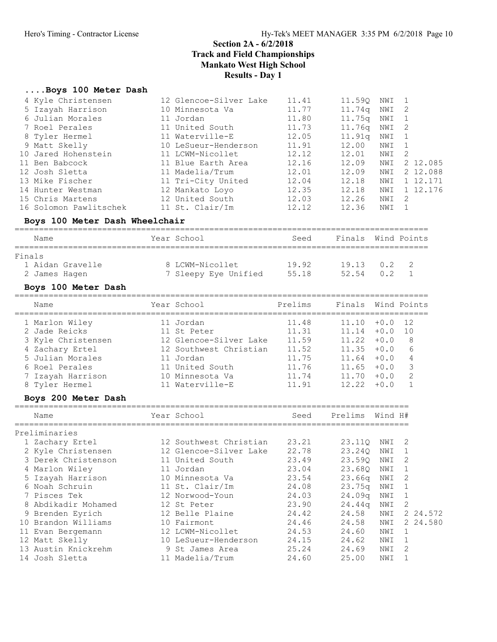#### ....Boys 100 Meter Dash

|        | 4 Kyle Christensen                    | 12 Glencoe-Silver Lake                                       | 11.41          | 11.59Q         | NWI        | 1             |
|--------|---------------------------------------|--------------------------------------------------------------|----------------|----------------|------------|---------------|
|        | 5 Izayah Harrison                     | 10 Minnesota Va                                              | 11.77          | 11.74q         | NWI        | 2             |
|        | 6 Julian Morales                      | 11 Jordan                                                    | 11.80          | 11.75q         | NWI        | $\mathbf 1$   |
|        | 7 Roel Perales                        | 11 United South                                              | 11.73          | 11.76q         | NWI        | 2             |
|        | 8 Tyler Hermel                        | 11 Waterville-E                                              | 12.05          | 11.91q         | NWI        | 1             |
|        | 9 Matt Skelly                         | 10 LeSueur-Henderson                                         | 11.91          | 12.00          | NWI        | $\mathbf 1$   |
|        | 10 Jared Hohenstein                   | 11 LCWM-Nicollet                                             | 12.12          | 12.01          | NWI        | 2             |
|        | 11 Ben Babcock                        | 11 Blue Earth Area                                           | 12.16          | 12.09          | NWI        | 2 12.085      |
|        | 12 Josh Sletta                        | 11 Madelia/Trum                                              | 12.01          | 12.09          | NWI        | 2 12.088      |
|        | 13 Mike Fischer                       | 11 Tri-City United                                           | 12.04          | 12.18          | NWI        | 1 12.171      |
|        | 14 Hunter Westman<br>15 Chris Martens | 12 Mankato Loyo<br>12 United South                           | 12.35<br>12.03 | 12.18<br>12.26 | NWI<br>NWI | 1 12.176<br>2 |
|        | 16 Solomon Pawlitschek                | 11 St. Clair/Im                                              | 12.12          | 12.36          | NWI        | 1             |
|        | Boys 100 Meter Dash Wheelchair        |                                                              |                |                |            |               |
|        |                                       |                                                              |                |                |            |               |
|        | Name                                  | Year School                                                  | Seed           | Finals         |            | Wind Points   |
| Finals |                                       |                                                              |                |                |            |               |
|        | 1 Aidan Gravelle                      | 8 LCWM-Nicollet                                              | 19.92 19.13    |                | 0.2        | 2             |
|        | 2 James Hagen                         | 7 Sleepy Eye Unified 55.18                                   |                | 52.54          | 0.2        | $\mathbf 1$   |
|        | Boys 100 Meter Dash                   |                                                              |                |                |            |               |
|        |                                       |                                                              |                |                |            |               |
|        | Name                                  | Year School                                                  | Prelims        | Finals         |            | Wind Points   |
|        | 1 Marlon Wiley                        | 11 Jordan                                                    | 11.48          | $11.10 + 0.0$  |            | 12            |
|        | 2 Jade Reicks                         | 11 St Peter                                                  | 11.31          | $11.14 + 0.0$  |            | 10            |
|        | 3 Kyle Christensen                    | 12 Glencoe-Silver Lake                                       | 11.59          | $11.22 + 0.0$  |            | 8             |
|        | 4 Zachary Ertel                       | 12 Southwest Christian                                       | 11.52          | $11.35 + 0.0$  |            | 6             |
|        | 5 Julian Morales                      | 11 Jordan                                                    | 11.75          | $11.64 + 0.0$  |            | 4             |
|        | 6 Roel Perales                        | 11 United South                                              | 11.76          | $11.65 + 0.0$  |            | $\mathcal{S}$ |
|        | 7 Izayah Harrison                     | 10 Minnesota Va                                              | 11.74          | $11.70 + 0.0$  |            | $\mathbf{2}$  |
|        | 8 Tyler Hermel                        | 11 Waterville-E                                              | 11.91          | 12.22          | $+0.0$     | $\mathbf{1}$  |
|        | Boys 200 Meter Dash                   |                                                              |                |                |            |               |
|        | Name                                  | Year School                                                  | Seed           | Prelims        | Wind H#    |               |
|        | Preliminaries                         |                                                              |                |                |            |               |
|        | 1 Zachary Ertel                       | 12 Southwest Christian 23.21<br>12 Glencoe-Silver Lake 22.78 |                | 23.11Q         | NWI        | 2             |
|        | 2 Kyle Christensen                    | 12 Glencoe-Silver Lake                                       | 22.78          | 23.240         | NWI        | 1             |
|        | 3 Derek Christenson                   | 11 United South                                              | 23.49          | 23.59Q         | NWI        | 2             |
|        | 4 Marlon Wiley                        | 11 Jordan                                                    | 23.04          | 23.68Q         | NWI        | $\mathbf 1$   |
|        | 5 Izayah Harrison                     | 10 Minnesota Va                                              | 23.54          | 23.66q         | NWI        | 2             |
|        | 6 Noah Schruin                        | 11 St. Clair/Im                                              | 24.08          | 23.75q         | NWI        | 1             |
|        | 7 Pisces Tek                          | 12 Norwood-Youn                                              | 24.03          | 24.09q         | NWI        | 1             |
|        | 8 Abdikadir Mohamed                   | 12 St Peter                                                  | 23.90          | 24.44q         | NWI        | 2             |
|        | 9 Brenden Eyrich                      | 12 Belle Plaine                                              | 24.42          | 24.58          | NWI        | 2 24.572      |
|        | 10 Brandon Williams                   | 10 Fairmont                                                  | 24.46          | 24.58          | NWI        | 2 24.580      |
|        | 11 Evan Bergemann                     | 12 LCWM-Nicollet                                             | 24.53          | 24.60          | NWI        | 1             |
|        | 12 Matt Skelly                        | 10 LeSueur-Henderson                                         | 24.15          | 24.62          | NWI        | 1             |
|        | 13 Austin Knickrehm                   | 9 St James Area                                              | 25.24          | 24.69          | NWI        | 2             |
|        | 14 Josh Sletta                        | 11 Madelia/Trum                                              | 24.60          | 25.00          | NWI        | $\mathbf 1$   |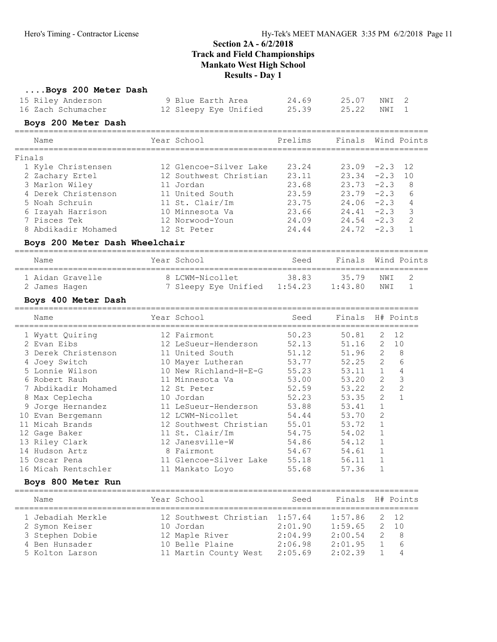#### ....Boys 200 Meter Dash

| 15 Riley Anderson  | 9 Blue Earth Area     | 24.69 | 25.07 NWI 2 |  |
|--------------------|-----------------------|-------|-------------|--|
| 16 Zach Schumacher | 12 Sleepy Eye Unified | 25.39 | 25.22 NWI 1 |  |

#### Boys 200 Meter Dash

|        | Name                | Year School            | Prelims | Finals Wind Points |      |
|--------|---------------------|------------------------|---------|--------------------|------|
| Finals |                     |                        |         |                    |      |
|        | 1 Kyle Christensen  | 12 Glencoe-Silver Lake | 23.24   | $23.09 - 2.3$      | - 12 |
|        | 2 Zachary Ertel     | 12 Southwest Christian | 23.11   | $23.34 -2.3$       | 10   |
|        | 3 Marlon Wiley      | 11 Jordan              | 23.68   | $23.73 -2.3$       | 8    |
|        | 4 Derek Christenson | 11 United South        | 23.59   | $23.79 - 2.3$      | 6    |
|        | 5 Noah Schruin      | 11 St. Clair/Im        | 23.75   | $24.06 - 2.3$      | 4    |
|        | 6 Izayah Harrison   | 10 Minnesota Va        | 23.66   | $24.41 - 2.3$      | 3    |
|        | 7 Pisces Tek        | 12 Norwood-Youn        | 24.09   | $24.54 - 2.3$      | -2   |
|        | 8 Abdikadir Mohamed | 12 St Peter            | 24.44   | $24.72 - 2.3$      |      |

#### Boys 200 Meter Dash Wheelchair

| Name |                  | Year School          | Seed    | Finals Wind Points |      |  |
|------|------------------|----------------------|---------|--------------------|------|--|
|      |                  |                      |         |                    |      |  |
|      | 1 Aidan Gravelle | 8 LCWM-Nicollet      | 38.83   | 3579               | NW T |  |
|      | 2 James Hagen    | 7 Sleepy Eye Unified | 1:54.23 | 1:43.80            | NW T |  |

## Boys 400 Meter Dash

|    | Name                |   | Year School            | Seed  | Finals |                | H# Points |
|----|---------------------|---|------------------------|-------|--------|----------------|-----------|
|    | 1 Wyatt Quiring     |   | 12 Fairmont            | 50.23 | 50.81  | 2              | 12        |
|    | 2 Evan Eibs         |   | 12 LeSueur-Henderson   | 52.13 | 51.16  | 2              | 10        |
|    | 3 Derek Christenson |   | 11 United South        | 51.12 | 51.96  | 2              | 8         |
|    | Joey Switch         |   | 10 Mayer Lutheran      | 53.77 | 52.25  | $\overline{2}$ | 6         |
|    | 5 Lonnie Wilson     |   | 10 New Richland-H-E-G  | 55.23 | 53.11  | $\mathbf{1}$   | 4         |
|    | 6 Robert Rauh       |   | 11 Minnesota Va        | 53.00 | 53.20  | 2              | 3         |
|    | 7 Abdikadir Mohamed |   | 12 St Peter            | 52.59 | 53.22  | $\overline{2}$ | 2         |
|    | 8 Max Ceplecha      |   | 10 Jordan              | 52.23 | 53.35  | $\overline{2}$ |           |
| 9  | Jorge Hernandez     |   | 11 LeSueur-Henderson   | 53.88 | 53.41  |                |           |
|    | 10 Evan Bergemann   |   | 12 LCWM-Nicollet       | 54.44 | 53.70  | 2              |           |
| 11 | Micah Brands        |   | 12 Southwest Christian | 55.01 | 53.72  |                |           |
|    | 12 Gage Baker       |   | 11 St. Clair/Im        | 54.75 | 54.02  |                |           |
|    | 13 Riley Clark      |   | 12 Janesville-W        | 54.86 | 54.12  |                |           |
|    | 14 Hudson Artz      | 8 | Fairmont               | 54.67 | 54.61  |                |           |
|    | 15 Oscar Pena       |   | 11 Glencoe-Silver Lake | 55.18 | 56.11  |                |           |
|    | 16 Micah Rentschler |   | 11 Mankato Lovo        | 55.68 | 57.36  |                |           |

#### Boys 800 Meter Run

| Name                                | Year School                                 | Seed               | Finals H# Points   |               |                     |
|-------------------------------------|---------------------------------------------|--------------------|--------------------|---------------|---------------------|
| 1 Jebadiah Merkle<br>2 Symon Keiser | 12 Southwest Christian 1:57.64<br>10 Jordan | 2:01.90            | 1:57.86<br>1:59.65 |               | 2 12<br>2, 10       |
| 3 Stephen Dobie                     | 12 Maple River                              | 2:04.99            | 2:00.54            | $\mathcal{P}$ | $\overline{8}$      |
| 4 Ben Hunsader<br>5 Kolton Larson   | 10 Belle Plaine<br>11 Martin County West    | 2:06.98<br>2:05.69 | 2:01.95<br>2:02.39 |               | 6<br>$\overline{4}$ |
|                                     |                                             |                    |                    |               |                     |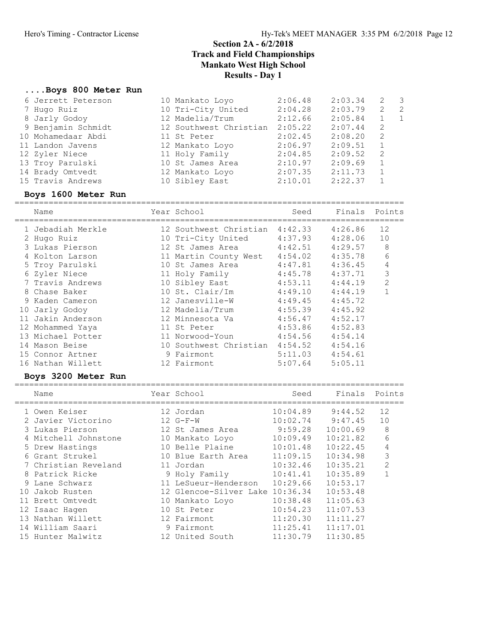#### ....Boys 800 Meter Run

| 6 Jerrett Peterson | 10 Mankato Loyo        | 2:06.48 | 2:03.34 | 2  | - 3            |
|--------------------|------------------------|---------|---------|----|----------------|
| 7 Hugo Ruiz        | 10 Tri-City United     | 2:04.28 | 2:03.79 | 2  | $\overline{2}$ |
| 8 Jarly Godoy      | 12 Madelia/Trum        | 2:12.66 | 2:05.84 |    | $\mathbf{1}$   |
| 9 Benjamin Schmidt | 12 Southwest Christian | 2:05.22 | 2:07.44 | -2 |                |
| 10 Mohamedaar Abdi | 11 St Peter            | 2:02.45 | 2:08.20 | 2  |                |
| 11 Landon Javens   | 12 Mankato Loyo        | 2:06.97 | 2:09.51 | 1  |                |
| 12 Zyler Niece     | 11 Holy Family         | 2:04.85 | 2:09.52 | -2 |                |
| 13 Troy Parulski   | 10 St James Area       | 2:10.97 | 2:09.69 | 1  |                |
| 14 Brady Omtvedt   | 12 Mankato Loyo        | 2:07.35 | 2:11.73 | 1  |                |
| 15 Travis Andrews  | 10 Sibley East         | 2:10.01 | 2:22.37 |    |                |
|                    |                        |         |         |    |                |

# Boys 1600 Meter Run ================================================================================

Name Year School Seed Finals Points ================================================================================ 1 Jebadiah Merkle 12 Southwest Christian 4:42.33 4:26.86 12 2 Hugo Ruiz 10 Tri-City United 4:37.93 4:28.06 10 3 Lukas Pierson 12 St James Area 4:42.51 4:29.57 8 4 Kolton Larson 11 Martin County West 4:54.02 4:35.78 6 5 Troy Parulski 10 St James Area 4:47.81 4:36.45 4 6 Zyler Niece 11 Holy Family 4:45.78 4:37.71 3 7 Travis Andrews 10 Sibley East 4:53.11 4:44.19 2 8 Chase Baker 10 St. Clair/Im 4:49.10 4:44.19 1 9 Kaden Cameron 12 Janesville-W 4:49.45 4:45.72 10 Jarly Godoy 12 Madelia/Trum 4:55.39 4:45.92 11 Jakin Anderson 12 Minnesota Va 4:56.47 4:52.17 12 Mohammed Yaya 11 St Peter 4:53.86 4:52.83 13 Michael Potter 11 Norwood-Youn 4:54.56 4:54.14 14 Mason Beise 10 Southwest Christian 4:54.52 4:54.16 15 Connor Artner 9 Fairmont 5:11.03 4:54.61 16 Nathan Willett 12 Fairmont 5:07.64 5:05.11

| Name          |                                                                                                                                                                                                                                                                                                             | Seed                                                                                                                                                                                                                                                           | Finals                          | Points         |
|---------------|-------------------------------------------------------------------------------------------------------------------------------------------------------------------------------------------------------------------------------------------------------------------------------------------------------------|----------------------------------------------------------------------------------------------------------------------------------------------------------------------------------------------------------------------------------------------------------------|---------------------------------|----------------|
|               |                                                                                                                                                                                                                                                                                                             | 10:04.89                                                                                                                                                                                                                                                       | 9:44.52                         | 12             |
|               |                                                                                                                                                                                                                                                                                                             | 10:02.74                                                                                                                                                                                                                                                       | 9:47.45                         | 10             |
|               |                                                                                                                                                                                                                                                                                                             |                                                                                                                                                                                                                                                                | 10:00.69                        | 8              |
|               |                                                                                                                                                                                                                                                                                                             | 10:09.49                                                                                                                                                                                                                                                       | 10:21.82                        | 6              |
|               |                                                                                                                                                                                                                                                                                                             | 10:01.48                                                                                                                                                                                                                                                       | 10:22.45                        | 4              |
|               |                                                                                                                                                                                                                                                                                                             | 11:09.15                                                                                                                                                                                                                                                       | 10:34.98                        | 3              |
|               |                                                                                                                                                                                                                                                                                                             | 10:32.46                                                                                                                                                                                                                                                       | 10:35.21                        | $\overline{2}$ |
|               |                                                                                                                                                                                                                                                                                                             | 10:41.41                                                                                                                                                                                                                                                       | 10:35.89                        |                |
|               |                                                                                                                                                                                                                                                                                                             | 10:29.66                                                                                                                                                                                                                                                       | 10:53.17                        |                |
|               |                                                                                                                                                                                                                                                                                                             |                                                                                                                                                                                                                                                                | 10:53.48                        |                |
| Brett Omtvedt |                                                                                                                                                                                                                                                                                                             | 10:38.48                                                                                                                                                                                                                                                       | 11:05.63                        |                |
|               |                                                                                                                                                                                                                                                                                                             | 10:54.23                                                                                                                                                                                                                                                       | 11:07.53                        |                |
|               |                                                                                                                                                                                                                                                                                                             | 11:20.30                                                                                                                                                                                                                                                       | 11:11.27                        |                |
|               |                                                                                                                                                                                                                                                                                                             | 11:25.41                                                                                                                                                                                                                                                       | 11:17.01                        |                |
|               |                                                                                                                                                                                                                                                                                                             | 11:30.79                                                                                                                                                                                                                                                       | 11:30.85                        |                |
|               | Boys 3200 Meter Run<br>1 Owen Keiser<br>2 Javier Victorino<br>3 Lukas Pierson<br>4 Mitchell Johnstone<br>5 Drew Hastings<br>6 Grant Strukel<br>7 Christian Reveland<br>8 Patrick Ricke<br>9 Lane Schwarz<br>10 Jakob Rusten<br>12 Isaac Haqen<br>13 Nathan Willett<br>14 William Saari<br>15 Hunter Malwitz | Year School<br>12 Jordan<br>$12 G-F-W$<br>12 St James Area<br>10 Mankato Loyo<br>10 Belle Plaine<br>10 Blue Earth Area<br>11 Jordan<br>9 Holy Family<br>11 LeSueur-Henderson<br>10 Mankato Loyo<br>10 St Peter<br>12 Fairmont<br>9 Fairmont<br>12 United South | 12 Glencoe-Silver Lake 10:36.34 | 9:59.28        |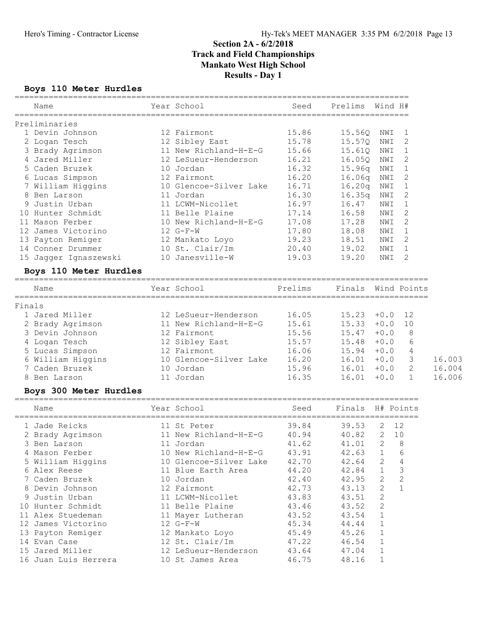#### Boys 110 Meter Hurdles

|        | Name                                | Year School                                           | Seed    | Prelims Wind H#      |              |                |        |
|--------|-------------------------------------|-------------------------------------------------------|---------|----------------------|--------------|----------------|--------|
|        | Preliminaries                       |                                                       |         |                      |              |                |        |
|        | 1 Devin Johnson                     | 12 Fairmont                                           | 15.86   | 15.56Q               | NWI          | 1              |        |
|        | 2 Logan Tesch                       | 12 Sibley East                                        | 15.78   | 15.57Q               | NWI          | 2              |        |
|        | 3 Brady Agrimson                    | 11 New Richland-H-E-G                                 | 15.66   | 15.61Q               | NWI          | 1              |        |
|        | 4 Jared Miller                      | 12 LeSueur-Henderson                                  | 16.21   | 16.05Q               | NWI          | 2              |        |
|        | 5 Caden Bruzek                      | 10 Jordan                                             | 16.32   | 15.96q NWI           |              | 1              |        |
|        | 6 Lucas Simpson                     | 12 Fairmont                                           | 16.20   | 16.06q               | NWI          | 2              |        |
|        | 7 William Higgins                   | 10 Glencoe-Silver Lake                                | 16.71   | 16.20q               | NWI          | 1              |        |
|        | 8 Ben Larson                        | 11 Jordan                                             | 16.30   | 16.35q               | NWI          | 2              |        |
|        | 9 Justin Urban                      | 11 LCWM-Nicollet                                      | 16.97   | 16.47                | NWI          | $\mathbf 1$    |        |
|        | 10 Hunter Schmidt                   | 11 Belle Plaine                                       | 17.14   | 16.58                | NWI          | $\overline{2}$ |        |
|        | 11 Mason Ferber                     | 10 New Richland-H-E-G                                 | 17.08   | 17.28                | NWI          | 2              |        |
|        | 12 James Victorino                  | $12 G-F-W$                                            | 17.80   | 18.08                | NWI          | 1              |        |
|        | 13 Payton Remiger                   | 12 Mankato Loyo                                       | 19.23   | 18.51                | NWI          | 2              |        |
|        | 14 Conner Drummer                   | 10 St. Clair/Im                                       | 20.40   | 19.02                | NWI          | 1              |        |
|        | 15 Jagger Ignaszewski               | 10 Janesville-W                                       | 19.03   | 19.20                | NWI          | 2              |        |
|        | Boys 110 Meter Hurdles              |                                                       |         |                      |              |                |        |
|        | Name                                | Year School                                           | Prelims | Finals               |              | Wind Points    |        |
| Finals |                                     |                                                       |         |                      |              |                |        |
|        | 1 Jared Miller                      | 12 LeSueur-Henderson                                  | 16.05   | $15.23 + 0.0$        |              | 12             |        |
|        | 2 Brady Agrimson                    | 11 New Richland-H-E-G                                 | 15.61   | 15.33                | $+0.0$       | 10             |        |
|        | 3 Devin Johnson                     | 12 Fairmont                                           | 15.56   | 15.47                | $+0.0$       | 8              |        |
|        | 4 Logan Tesch                       | 12 Sibley East                                        | 15.57   | 15.48                | $+0.0$       | 6              |        |
|        | 5 Lucas Simpson                     | 12 Fairmont                                           | 16.06   | 15.94                | $+0.0$       | 4              |        |
|        | 6 William Higgins                   | 10 Glencoe-Silver Lake                                | 16.20   | 16.01                | $+0.0$       | $\mathfrak{Z}$ | 16.003 |
|        | 7 Caden Bruzek                      | 10 Jordan                                             | 15.96   | 16.01                | $+0.0$       | 2              | 16.004 |
|        | 8 Ben Larson                        | 11 Jordan                                             | 16.35   | 16.01                | $+0.0$       | $\mathbf{1}$   | 16.006 |
|        | Boys 300 Meter Hurdles              |                                                       |         |                      |              |                |        |
|        | Name                                | Year School                                           | Seed    | Finals               | H# Points    |                |        |
|        |                                     |                                                       |         |                      |              |                |        |
|        | 1 Jade Reicks                       | 11 St Peter                                           | 39.84   | 39.53                | 2            | 12             |        |
|        | 2 Brady Agrimson                    | 11 New Richland-H-E-G                                 | 40.94   | 40.82                | 2 10         |                |        |
|        | 3 Ben Larson                        | 11 Jordan                                             | 41.62   | 41.01                | 2            | 8<br>6         |        |
|        | 4 Mason Ferber<br>5 William Higgins | 10 New Richland-H-E-G<br>10 Glencoe-Silver Lake 42.70 | 43.91   | 42.63<br>$42.64$ 2 4 | $\mathbf{1}$ |                |        |
|        | 6 Alex Reese                        | 11 Blue Earth Area                                    | 44.20   | 42.84                | $\mathbf 1$  | 3              |        |
|        | 7 Caden Bruzek                      | 10 Jordan                                             | 42.40   | 42.95                | 2            | $\sqrt{2}$     |        |
|        | 8 Devin Johnson                     | 12 Fairmont                                           | 42.73   | 43.13                | 2            | $\mathbf{1}$   |        |
|        | 9 Justin Urban                      | 11 LCWM-Nicollet                                      | 43.83   | 43.51                | 2            |                |        |
|        | 10 Hunter Schmidt                   | 11 Belle Plaine                                       | 43.46   | 43.52                | 2            |                |        |
|        | 11 Alex Stuedeman                   | 11 Mayer Lutheran                                     | 43.52   | 43.54                | 1            |                |        |
|        | 12 James Victorino                  | $12 G-F-W$                                            | 45.34   | 44.44                | $\mathbf 1$  |                |        |
|        | 13 Payton Remiger                   | 12 Mankato Loyo                                       | 45.49   | 45.26                | 1            |                |        |
|        | 14 Evan Case                        | 12 St. Clair/Im                                       | 47.22   | 46.54                | 1            |                |        |
|        | 15 Jared Miller                     | 12 LeSueur-Henderson                                  | 43.64   | 47.04                | 1            |                |        |
|        | 16 Juan Luis Herrera                | 10 St James Area                                      | 46.75   | 48.16                | 1            |                |        |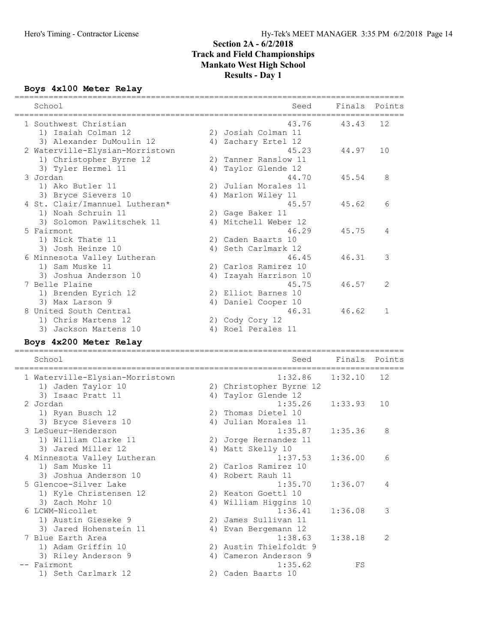# Boys 4x100 Meter Relay ================================================================================

| School                          |    | Seed                               | Finals<br>——————— | Points       |
|---------------------------------|----|------------------------------------|-------------------|--------------|
| 1 Southwest Christian           |    | 43.76                              | 43.43             | 12           |
| 1) Isaiah Colman 12             |    | 2) Josiah Colman 11                |                   |              |
| 3) Alexander DuMoulin 12        |    | 4) Zachary Ertel 12                |                   |              |
| 2 Waterville-Elysian-Morristown |    | 45.23                              | 44.97             | 10           |
| 1) Christopher Byrne 12         |    | 2) Tanner Ranslow 11               |                   |              |
| 3) Tyler Hermel 11              |    | 4) Taylor Glende 12                |                   |              |
| 3 Jordan                        |    | 44.70                              | 45.54             | 8            |
| 1) Ako Butler 11                |    | 2) Julian Morales 11               |                   |              |
| 3) Bryce Sievers 10             |    | 4) Marlon Wiley 11                 |                   |              |
| 4 St. Clair/Imannuel Lutheran*  |    | 45.57                              | 45.62             | 6            |
| 1) Noah Schruin 11              |    | 2) Gage Baker 11                   |                   |              |
| 3) Solomon Pawlitschek 11       |    | 4) Mitchell Weber 12               |                   |              |
| 5 Fairmont                      |    | 46.29                              | 45.75             | 4            |
| 1) Nick Thate 11                |    | 2) Caden Baarts 10                 |                   |              |
| 3) Josh Heinze 10               |    | 4) Seth Carlmark 12                |                   |              |
| 6 Minnesota Valley Lutheran     |    | 46.45                              | 46.31             | 3            |
| 1) Sam Muske 11                 |    | 2) Carlos Ramirez 10               |                   |              |
| 3) Joshua Anderson 10           |    | 4) Izayah Harrison 10              |                   |              |
| 7 Belle Plaine                  |    | 45.75                              | 46.57             | 2            |
| 1) Brenden Eyrich 12            |    | 2) Elliot Barnes 10                |                   |              |
| 3) Max Larson 9                 |    | 4) Daniel Cooper 10                |                   |              |
| 8 United South Central          |    | 46.31                              | 46.62             | $\mathbf{1}$ |
| 1) Chris Martens 12             |    | 2) Cody Cory 12                    |                   |              |
| 3) Jackson Martens 10           |    | 4) Roel Perales 11                 |                   |              |
| Boys 4x200 Meter Relay          |    |                                    |                   |              |
|                                 |    |                                    |                   |              |
| School                          |    | Seed<br>========================== | Finals            | Points       |
| 1 Waterville-Elysian-Morristown |    | 1:32.86                            | 1:32.10           | 12           |
| 1) Jaden Taylor 10              |    | 2) Christopher Byrne 12            |                   |              |
| 3) Isaac Pratt 11               | 4) | Taylor Glende 12                   |                   |              |
| 2 Jordan                        |    | 1:35.26                            | 1:33.93           | 10           |
| 1) Ryan Busch 12                |    | 2) Thomas Dietel 10                |                   |              |
| 3) Bryce Sievers 10             |    | 4) Julian Morales 11               |                   |              |
| 3 LeSueur-Henderson             |    | 1:35.87                            | 1:35.36           | 8            |
| 1) William Clarke 11            |    | 2) Jorge Hernandez 11              |                   |              |
| 3) Jared Miller 12              |    | 4) Matt Skelly 10                  |                   |              |
| 4 Minnesota Valley Lutheran     |    | 1:37.53                            | 1:36.00           | 6            |
| 1) Sam Muske 11                 |    | 2) Carlos Ramirez 10               |                   |              |
| 3) Joshua Anderson 10           |    | 4) Robert Rauh 11                  |                   |              |
| 5 Glencoe-Silver Lake           |    | 1:35.70                            | 1:36.07           | 4            |
| 1) Kyle Christensen 12          |    | 2) Keaton Goettl 10                |                   |              |
| 3) Zach Mohr 10                 |    | 4) William Higgins 10              |                   |              |
| 6 LCWM-Nicollet                 |    | 1:36.41                            | 1:36.08           | 3            |
| 1) Austin Gieseke 9             |    | 2) James Sullivan 11               |                   |              |
| 3) Jared Hohenstein 11          |    | 4) Evan Bergemann 12               |                   |              |
| 7 Blue Earth Area               |    | 1:38.63                            | 1:38.18           | 2            |
| 1) Adam Griffin 10              |    | 2) Austin Thielfoldt 9             |                   |              |
| 3) Riley Anderson 9             |    | 4) Cameron Anderson 9              |                   |              |
| -- Fairmont                     |    | 1:35.62                            | FS                |              |
| 1) Seth Carlmark 12             |    | 2) Caden Baarts 10                 |                   |              |
|                                 |    |                                    |                   |              |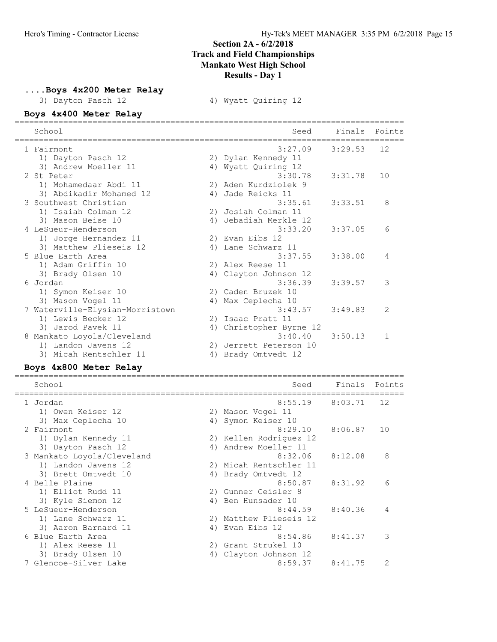#### ....Boys 4x200 Meter Relay

3) Dayton Pasch 12 4) Wyatt Quiring 12

| Boys 4x400 Meter Relay          |    |                        |         |        |
|---------------------------------|----|------------------------|---------|--------|
| School                          |    | Seed                   | Finals  | Points |
| 1 Fairmont                      |    | 3:27.09                | 3:29.53 | 12     |
| 1) Dayton Pasch 12              |    | 2) Dylan Kennedy 11    |         |        |
| 3) Andrew Moeller 11            |    | 4) Wyatt Quiring 12    |         |        |
| 2 St Peter                      |    | 3:30.78                | 3:31.78 | 10     |
| 1) Mohamedaar Abdi 11           |    | 2) Aden Kurdziolek 9   |         |        |
| 3) Abdikadir Mohamed 12         |    | 4) Jade Reicks 11      |         |        |
| 3 Southwest Christian           |    | 3:35.61                | 3:33.51 | 8      |
| 1) Isaiah Colman 12             |    | 2) Josiah Colman 11    |         |        |
| 3) Mason Beise 10               |    | 4) Jebadiah Merkle 12  |         |        |
| 4 LeSueur-Henderson             |    | 3:33.20                | 3:37.05 | 6      |
| 1) Jorge Hernandez 11           |    | 2) Evan Eibs 12        |         |        |
| 3) Matthew Plieseis 12          | 4) | Lane Schwarz 11        |         |        |
| 5 Blue Earth Area               |    | 3:37.55                | 3:38.00 | 4      |
| 1) Adam Griffin 10              |    | 2) Alex Reese 11       |         |        |
| 3) Brady Olsen 10               | 4) | Clayton Johnson 12     |         |        |
| 6 Jordan                        |    | 3:36.39                | 3:39.57 | 3      |
| 1) Symon Keiser 10              |    | 2) Caden Bruzek 10     |         |        |
| 3) Mason Vogel 11               | 4) | Max Ceplecha 10        |         |        |
| 7 Waterville-Elysian-Morristown |    | 3:43.57                | 3:49.83 | 2      |
| 1) Lewis Becker 12              |    | 2) Isaac Pratt 11      |         |        |
| 3) Jarod Pavek 11               | 4) | Christopher Byrne 12   |         |        |
| 8 Mankato Loyola/Cleveland      |    | 3:40.40                | 3:50.13 | 1      |
| 1) Landon Javens 12             |    | 2) Jerrett Peterson 10 |         |        |
| 3) Micah Rentschler 11          | 4) | Brady Omtvedt 12       |         |        |
|                                 |    |                        |         |        |

| Boys 4x800 Meter Relay     |    |                        |         |                |
|----------------------------|----|------------------------|---------|----------------|
| School                     |    | Seed                   | Finals  | Points         |
| 1 Jordan                   |    | 8:55.19                | 8:03.71 | 12             |
| 1) Owen Keiser 12          |    | 2) Mason Vogel 11      |         |                |
| 3) Max Ceplecha 10         | 4) | Symon Keiser 10        |         |                |
| 2 Fairmont                 |    | 8:29.10                | 8:06.87 | 10             |
| 1) Dylan Kennedy 11        |    | 2) Kellen Rodriguez 12 |         |                |
| 3) Dayton Pasch 12         | 4) | Andrew Moeller 11      |         |                |
| 3 Mankato Loyola/Cleveland |    | 8:32.06                | 8:12.08 | 8              |
| 1) Landon Javens 12        |    | 2) Micah Rentschler 11 |         |                |
| 3) Brett Omtvedt 10        | 4) | Brady Omtvedt 12       |         |                |
| 4 Belle Plaine             |    | 8:50.87                | 8:31.92 | 6              |
| 1) Elliot Rudd 11          |    | 2) Gunner Geisler 8    |         |                |
| 3) Kyle Siemon 12          | 4) | Ben Hunsader 10        |         |                |
| 5 LeSueur-Henderson        |    | 8:44.59                | 8:40.36 | 4              |
| 1) Lane Schwarz 11         | 2) | Matthew Plieseis 12    |         |                |
| 3) Aaron Barnard 11        | 4) | Evan Eibs 12           |         |                |
| 6 Blue Earth Area          |    | 8:54.86                | 8:41.37 | 3              |
| 1) Alex Reese 11           | 2) | Grant Strukel 10       |         |                |
| 3) Brady Olsen 10          | 4) | Clayton Johnson 12     |         |                |
| 7 Glencoe-Silver Lake      |    | 8:59.37                | 8:41.75 | $\overline{2}$ |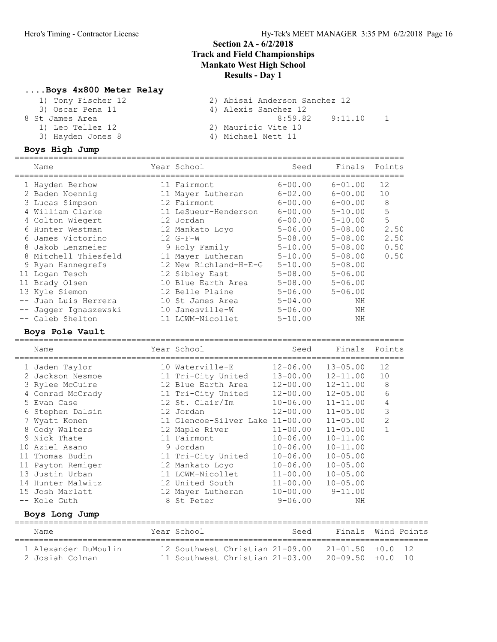#### ....Boys 4x800 Meter Relay

| 2) Abisai Anderson Sanchez 12 |
|-------------------------------|
| 4) Alexis Sanchez 12          |
| 8:59.82<br>9:11.10            |
| 2) Mauricio Vite 10           |
| 4) Michael Nett 11            |
|                               |

|    | Boys High Jump        |    |                       |             |             |        |
|----|-----------------------|----|-----------------------|-------------|-------------|--------|
|    | Name                  |    | Year School           | Seed        | Finals      | Points |
|    | 1 Hayden Berhow       |    | 11 Fairmont           | $6 - 00.00$ | $6 - 01.00$ | 12     |
|    | 2 Baden Noennig       |    | 11 Mayer Lutheran     | $6 - 02.00$ | $6 - 00.00$ | 10     |
|    | 3 Lucas Simpson       |    | 12 Fairmont           | $6 - 00.00$ | $6 - 00.00$ | 8      |
|    | 4 William Clarke      |    | 11 LeSueur-Henderson  | $6 - 00.00$ | $5 - 10.00$ | 5      |
|    | 4 Colton Wiegert      |    | 12 Jordan             | $6 - 00.00$ | $5 - 10.00$ | 5      |
| 6. | Hunter Westman        |    | 12 Mankato Loyo       | $5 - 06.00$ | $5 - 08.00$ | 2.50   |
| 6. | James Victorino       |    | $12 G-F-W$            | $5 - 08.00$ | $5 - 08.00$ | 2.50   |
| 8  | Jakob Lenzmeier       |    | 9 Holy Family         | $5 - 10.00$ | $5 - 08.00$ | 0.50   |
|    | 8 Mitchell Thiesfeld  | 11 | Mayer Lutheran        | $5 - 10.00$ | $5 - 08.00$ | 0.50   |
| 9  | Ryan Hannegrefs       |    | 12 New Richland-H-E-G | $5 - 10.00$ | $5 - 08.00$ |        |
|    | 11 Logan Tesch        |    | 12 Sibley East        | $5 - 08.00$ | $5 - 06.00$ |        |
| 11 | Brady Olsen           |    | 10 Blue Earth Area    | $5 - 08.00$ | $5 - 06.00$ |        |
|    | 13 Kyle Siemon        |    | 12 Belle Plaine       | $5 - 06.00$ | $5 - 06.00$ |        |
|    | Juan Luis Herrera     |    | 10 St James Area      | $5 - 04.00$ | ΝH          |        |
|    | -- Jagger Ignaszewski |    | 10 Janesville-W       | $5 - 06.00$ | NH          |        |
|    | -- Caleb Shelton      |    | 11 LCWM-Nicollet      | $5 - 10.00$ | NH          |        |

# Boys Pole Vault

| Name                                       | Year School                        | Seed         | Finals Points |                |
|--------------------------------------------|------------------------------------|--------------|---------------|----------------|
| 1 Jaden Taylor                             | 10 Waterville-E                    | $12 - 06.00$ | $13 - 05.00$  | 12             |
| 2 Jackson Nesmoe                           | 11 Tri-City United 13-00.00        |              | 12-11.00      | 10             |
| 3 Rylee McGuire                            | 12 Blue Earth Area 12-00.00        |              | 12-11.00      | 8              |
| 4 Conrad McCrady                           | 11 Tri-City United                 | 12-00.00     | $12 - 05.00$  | 6              |
| 5 Evan Case                                | 12 St. Clair/Im                    | 10-06.00     | 11-11.00      | 4              |
| 6 Stephen Dalsin                           | 12 Jordan                          | $12 - 00.00$ | $11 - 05.00$  | 3              |
| Wyatt Konen                                | 11 Glencoe-Silver Lake 11-00.00    |              | $11 - 05.00$  | $\overline{2}$ |
| 8 Cody Walters                             | 12 Maple River                     | $11 - 00.00$ | $11 - 05.00$  |                |
| 9 Nick Thate                               | 11 Fairmont                        | $10 - 06.00$ | $10 - 11.00$  |                |
| 10 Aziel Asano                             | 9 Jordan                           | $10 - 06.00$ | $10 - 11.00$  |                |
| 11 Thomas Budin                            | 11 Tri-City United 10-06.00        |              | $10 - 05.00$  |                |
| 11 Payton Remiger                          | 12 Mankato Loyo 10-06.00           |              | $10 - 05.00$  |                |
| 13 Justin Urban                            | 11 LCWM-Nicollet                   | $11 - 00.00$ | $10 - 05.00$  |                |
| 14 Hunter Malwitz                          | 12 United South                    | $11 - 00.00$ | $10 - 05.00$  |                |
| 15 Josh Marlatt                            | 12 Mayer Lutheran 10-00.00 9-11.00 |              |               |                |
| -- Kole Guth                               | 8 St Peter                         | $9 - 06.00$  | NΗ            |                |
| Boys Long Jump                             |                                    |              |               |                |
| Name<br>================================== | Year School                        | Seed         | Finals        | Wind Points    |

| 1 Alexander DuMoulin |  | $12$ Southwest Christian $21-09.00$ $21-01.50$ +0.0 $12$ |  |  |
|----------------------|--|----------------------------------------------------------|--|--|
| -2 Josiah Colman     |  | 11 Southwest Christian $21-03.00$ $20-09.50$ $+0.0$ 10   |  |  |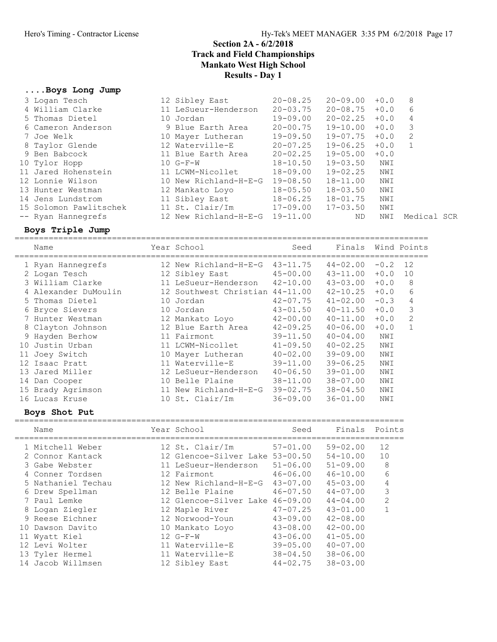#### ....Boys Long Jump

| 3 Logan Tesch          | 12 Sibley East                 | $20 - 08.25$ | $20 - 09.00$ | $+0.0$ | 8           |  |
|------------------------|--------------------------------|--------------|--------------|--------|-------------|--|
| 4 William Clarke       | 11 LeSueur-Henderson           | $20 - 03.75$ | $20 - 08.75$ | $+0.0$ | 6           |  |
| 5 Thomas Dietel        | 10 Jordan                      | 19-09.00     | $20 - 02.25$ | $+0.0$ | 4           |  |
| 6 Cameron Anderson     | 9 Blue Earth Area              | $20 - 00.75$ | $19 - 10.00$ | $+0.0$ | 3           |  |
| 7 Joe Welk             | 10 Mayer Lutheran              | 19-09.50     | 19-07.75     | $+0.0$ | -2          |  |
| 8 Taylor Glende        | 12 Waterville-E                | $20 - 07.25$ | $19 - 06.25$ | $+0.0$ |             |  |
| 9 Ben Babcock          | 11 Blue Earth Area             | $20 - 02.25$ | $19 - 05.00$ | $+0.0$ |             |  |
| 10 Tylor Hopp          | $10 G-F-W$                     | $18 - 10.50$ | $19 - 03.50$ | NWI    |             |  |
| 11 Jared Hohenstein    | 11 LCWM-Nicollet               | 18-09.00     | $19 - 02.25$ | NWI    |             |  |
| 12 Lonnie Wilson       | 10 New Richland-H-E-G          | 19-08.50     | $18 - 11.00$ | NWI    |             |  |
| 13 Hunter Westman      | 12 Mankato Loyo                | $18 - 05.50$ | $18 - 03.50$ | NWI    |             |  |
| 14 Jens Lundstrom      | 11 Sibley East                 | $18 - 06.25$ | $18 - 01.75$ | NWI    |             |  |
| 15 Solomon Pawlitschek | 11 St. Clair/Im 17-09.00       |              | $17 - 03.50$ | NWI    |             |  |
| -- Ryan Hannegrefs     | 12 New Richland-H-E-G 19-11.00 |              | ND.          | NWI    | Medical SCR |  |

Boys Triple Jump =====================================================================================

| Name                 |    | Year School                     | Seed         | Finals       |        | Wind Points  |
|----------------------|----|---------------------------------|--------------|--------------|--------|--------------|
| 1 Ryan Hannegrefs    |    | 12 New Richland-H-E-G           | $43 - 11.75$ | $44 - 02.00$ | $-0.2$ | 12           |
| 2 Logan Tesch        |    | 12 Sibley East                  | $45 - 00.00$ | $43 - 11.00$ | $+0.0$ | 10           |
| 3 William Clarke     |    | 11 LeSueur-Henderson            | $42 - 10.00$ | $43 - 03.00$ | $+0.0$ | 8            |
| 4 Alexander DuMoulin |    | 12 Southwest Christian 44-11.00 |              | $42 - 10.25$ | $+0.0$ | 6            |
| 5 Thomas Dietel      | 10 | Jordan                          | $42 - 07.75$ | $41 - 02.00$ | $-0.3$ | 4            |
| 6 Bryce Sievers      |    | 10 Jordan                       | $43 - 01.50$ | $40 - 11.50$ | $+0.0$ | 3            |
| 7 Hunter Westman     |    | 12 Mankato Loyo                 | $42 - 00.00$ | $40 - 11.00$ | $+0.0$ | 2            |
| 8 Clayton Johnson    |    | 12 Blue Earth Area              | $42 - 09.25$ | $40 - 06.00$ | $+0.0$ | $\mathbf{1}$ |
| 9 Hayden Berhow      |    | 11 Fairmont                     | $39 - 11.50$ | $40 - 04.00$ | NWI    |              |
| 10 Justin Urban      |    | 11 LCWM-Nicollet                | $41 - 09.50$ | $40 - 02.25$ | NWI    |              |
| 11 Joey Switch       |    | 10 Mayer Lutheran               | $40 - 02.00$ | $39 - 09.00$ | NWI    |              |
| 12 Isaac Pratt       |    | 11 Waterville-E                 | $39 - 11.00$ | $39 - 06.25$ | NWI    |              |
| 13 Jared Miller      |    | 12 LeSueur-Henderson            | $40 - 06.50$ | $39 - 01.00$ | NWI    |              |
| 14 Dan Cooper        |    | 10 Belle Plaine                 | $38 - 11.00$ | $38 - 07.00$ | NWI    |              |
| 15 Brady Agrimson    |    | 11 New Richland-H-E-G           | $39 - 02.75$ | $38 - 04.50$ | NWI    |              |
| 16 Lucas Kruse       |    | 10 St. Clair/Im                 | $36 - 09.00$ | $36 - 01.00$ | NWI    |              |
|                      |    |                                 |              |              |        |              |

| Name       |                                                                                                                                                                                                                                                                                | Seed                                                                                                                                                                                                                                            | Finals                                                    | Points         |
|------------|--------------------------------------------------------------------------------------------------------------------------------------------------------------------------------------------------------------------------------------------------------------------------------|-------------------------------------------------------------------------------------------------------------------------------------------------------------------------------------------------------------------------------------------------|-----------------------------------------------------------|----------------|
|            |                                                                                                                                                                                                                                                                                | $57 - 01.00$                                                                                                                                                                                                                                    | $59 - 02.00$                                              | 12             |
|            |                                                                                                                                                                                                                                                                                |                                                                                                                                                                                                                                                 | $54 - 10.00$                                              | 10             |
|            |                                                                                                                                                                                                                                                                                | $51 - 06.00$                                                                                                                                                                                                                                    | $51 - 09.00$                                              | 8              |
|            |                                                                                                                                                                                                                                                                                | $46 - 06.00$                                                                                                                                                                                                                                    | $46 - 10.00$                                              | 6              |
|            |                                                                                                                                                                                                                                                                                | $43 - 07.00$                                                                                                                                                                                                                                    | $45 - 03.00$                                              | $\overline{4}$ |
|            |                                                                                                                                                                                                                                                                                | $46 - 07.50$                                                                                                                                                                                                                                    | $44 - 07.00$                                              | 3              |
|            |                                                                                                                                                                                                                                                                                | 46-09.00                                                                                                                                                                                                                                        | $44 - 04.00$                                              | $\mathcal{D}$  |
|            |                                                                                                                                                                                                                                                                                | $47 - 07.25$                                                                                                                                                                                                                                    | $43 - 01.00$                                              |                |
|            |                                                                                                                                                                                                                                                                                | $43 - 09.00$                                                                                                                                                                                                                                    | $42 - 08.00$                                              |                |
|            |                                                                                                                                                                                                                                                                                | $43 - 08.00$                                                                                                                                                                                                                                    | $42 - 00.00$                                              |                |
| Wyatt Kiel |                                                                                                                                                                                                                                                                                | $43 - 06.00$                                                                                                                                                                                                                                    | $41 - 05.00$                                              |                |
|            |                                                                                                                                                                                                                                                                                | $39 - 05.00$                                                                                                                                                                                                                                    | $40 - 07.00$                                              |                |
|            |                                                                                                                                                                                                                                                                                | $38 - 04.50$                                                                                                                                                                                                                                    | $38 - 06.00$                                              |                |
|            |                                                                                                                                                                                                                                                                                | $44 - 02.75$                                                                                                                                                                                                                                    | $38 - 03.00$                                              |                |
|            | Boys Shot Put<br>1 Mitchell Weber<br>2 Connor Kantack<br>3 Gabe Webster<br>4 Conner Tordsen<br>5 Nathaniel Techau<br>6 Drew Spellman<br>7 Paul Lemke<br>8 Logan Ziegler<br>9 Reese Eichner<br>10 Dawson Davito<br>11<br>12 Levi Wolter<br>13 Tyler Hermel<br>14 Jacob Willmsen | Year School<br>12 St. Clair/Im<br>11 LeSueur-Henderson<br>12 Fairmont<br>12 New Richland-H-E-G<br>12 Belle Plaine<br>12 Maple River<br>12 Norwood-Youn<br>10 Mankato Loyo<br>$12 G-F-W$<br>11 Waterville-E<br>11 Waterville-E<br>12 Sibley East | 12 Glencoe-Silver Lake 53-00.50<br>12 Glencoe-Silver Lake |                |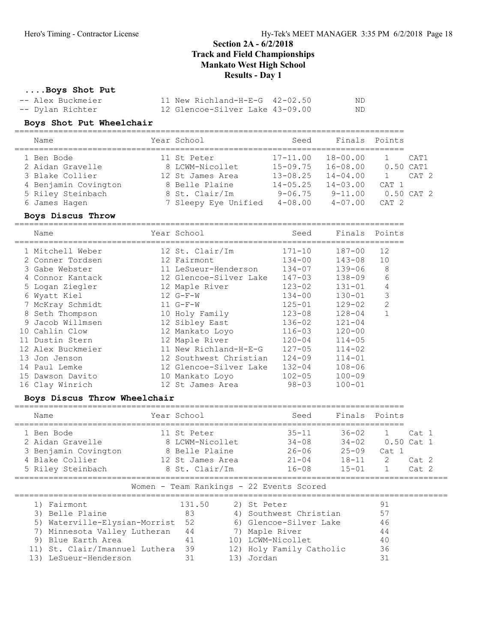#### ....Boys Shot Put

| -- Alex Buckmeier | $11$ New Richland-H-E-G $42-02.50$ | ND. |
|-------------------|------------------------------------|-----|
| -- Dylan Richter  | 12 Glencoe-Silver Lake 43-09.00    | ND. |

# Boys Shot Put Wheelchair ================================================================================

| Name                 | Year School          | Seed         | Finals Points |             |                |
|----------------------|----------------------|--------------|---------------|-------------|----------------|
| 1 Ben Bode           | 11 St Peter          | $17 - 11.00$ | $18 - 00.00$  |             | CAT1           |
| 2 Aidan Gravelle     | 8 LCWM-Nicollet      | $15 - 09.75$ | $16 - 08.00$  | $0.50$ CAT1 |                |
| 3 Blake Collier      | 12 St James Area     | $13 - 08.25$ | $14 - 04.00$  |             | CAT 2          |
| 4 Benjamin Covington | 8 Belle Plaine       | $14 - 05.25$ | $14 - 03.00$  | CAT 1       |                |
| 5 Riley Steinbach    | 8 St. Clair/Im       | $9 - 06.75$  | $9 - 11.00$   |             | $0.50$ CAT $2$ |
| 6 James Hagen        | 7 Sleepy Eye Unified | $4 - 08.00$  | $4 - 07.00$   | $CAT$ 2     |                |

Boys Discus Throw ================================================================================

| Name              | Year School            | Seed       | Finals     | Points |
|-------------------|------------------------|------------|------------|--------|
| 1 Mitchell Weber  | 12 St. Clair/Im        | $171 - 10$ | $187 - 00$ | 12     |
| 2 Conner Tordsen  | 12 Fairmont            | $134 - 00$ | $143 - 08$ | 10     |
| 3 Gabe Webster    | 11 LeSueur-Henderson   | $134 - 07$ | $139 - 06$ | 8      |
| 4 Connor Kantack  | 12 Glencoe-Silver Lake | $147 - 03$ | $138 - 09$ | 6      |
| 5 Logan Ziegler   | 12 Maple River         | $123 - 02$ | $131 - 01$ | 4      |
| 6 Wyatt Kiel      | $12 G-F-W$             | $134 - 00$ | $130 - 01$ | 3      |
| 7 McKray Schmidt  | $11 G-F-W$             | $125 - 01$ | $129 - 02$ | 2      |
| 8 Seth Thompson   | 10 Holy Family         | $123 - 08$ | $128 - 04$ |        |
| 9 Jacob Willmsen  | 12 Sibley East         | $136 - 02$ | $121 - 04$ |        |
| 10 Cahlin Clow    | 12 Mankato Loyo        | $116 - 03$ | $120 - 00$ |        |
| 11 Dustin Stern   | 12 Maple River         | $120 - 04$ | $114 - 05$ |        |
| 12 Alex Buckmeier | 11 New Richland-H-E-G  | $127 - 05$ | $114 - 02$ |        |
| 13 Jon Jenson     | 12 Southwest Christian | $124 - 09$ | $114 - 01$ |        |
| 14 Paul Lemke     | 12 Glencoe-Silver Lake | $132 - 04$ | $108 - 06$ |        |
| 15 Dawson Davito  | 10 Mankato Loyo        | $102 - 05$ | $100 - 09$ |        |
| 16 Clay Winrich   | 12 St James Area       | $98 - 03$  | $100 - 01$ |        |

#### Boys Discus Throw Wheelchair

| Name                                                                                                                      | Year School                                                                            |                  | Seed                                                          | Finals                                                        | Points                                       |                                                     |
|---------------------------------------------------------------------------------------------------------------------------|----------------------------------------------------------------------------------------|------------------|---------------------------------------------------------------|---------------------------------------------------------------|----------------------------------------------|-----------------------------------------------------|
| 1 Ben Bode<br>2 Aidan Gravelle<br>3 Benjamin Covington<br>4 Blake Collier<br>5 Riley Steinbach                            | 11 St Peter<br>8 LCWM-Nicollet<br>8 Belle Plaine<br>12 St James Area<br>8 St. Clair/Im |                  | $35 - 11$<br>$34 - 08$<br>$26 - 06$<br>$21 - 04$<br>$16 - 08$ | $36 - 02$<br>$34 - 02$<br>$25 - 09$<br>$18 - 11$<br>$15 - 01$ | 1.<br>Cat 1<br>$\mathcal{L}$<br>$\mathbf{1}$ | Cat 1<br>$0.50$ Cat 1<br>Cat. 2<br>Cat <sub>2</sub> |
|                                                                                                                           |                                                                                        |                  | Women - Team Rankings - 22 Events Scored                      |                                                               |                                              |                                                     |
| 1) Fairmont<br>Belle Plaine<br>3)<br>Waterville-Elysian-Morrist<br>5)                                                     | 131.50<br>83<br>52                                                                     | 6)               | 2) St Peter<br>4) Southwest Christian<br>Glencoe-Silver Lake  |                                                               | 91<br>57<br>46                               |                                                     |
| Minnesota Valley Lutheran<br>7)<br>9)<br>Blue Earth Area<br>St. Clair/Imannuel Luthera<br>11)<br>13)<br>LeSueur-Henderson | 44<br>41<br>39<br>31                                                                   | 7)<br>13) Jordan | Maple River<br>10) LCWM-Nicollet<br>12) Holy Family Catholic  |                                                               | 44<br>40<br>36<br>31                         |                                                     |